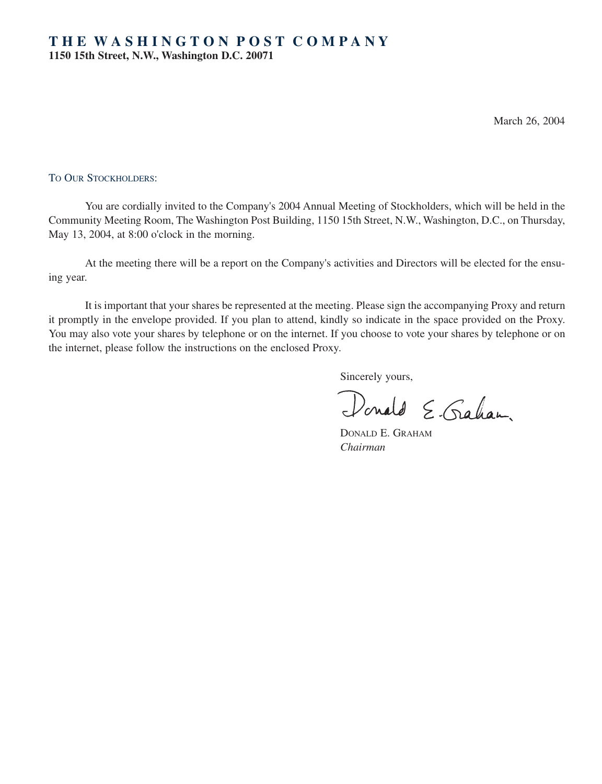March 26, 2004

## TO OUR STOCKHOLDERS:

You are cordially invited to the Company's 2004 Annual Meeting of Stockholders, which will be held in the Community Meeting Room, The Washington Post Building, 1150 15th Street, N.W., Washington, D.C., on Thursday, May 13, 2004, at 8:00 o'clock in the morning.

At the meeting there will be a report on the Company's activities and Directors will be elected for the ensuing year.

It is important that your shares be represented at the meeting. Please sign the accompanying Proxy and return it promptly in the envelope provided. If you plan to attend, kindly so indicate in the space provided on the Proxy. You may also vote your shares by telephone or on the internet. If you choose to vote your shares by telephone or on the internet, please follow the instructions on the enclosed Proxy.

Sincerely yours,

Donald E. Graham

DONALD E. GRAHAM *Chairman*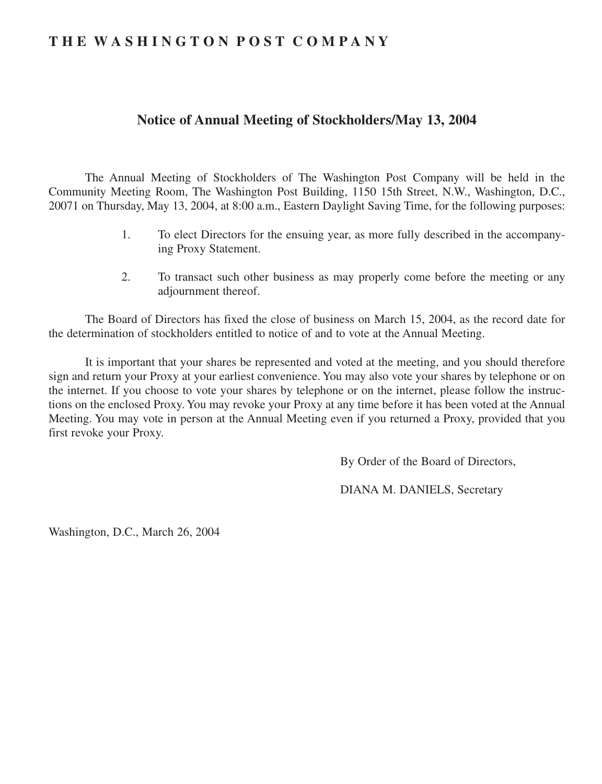# **T H E W A S H I N G T O N P O S T C O M P A N Y**

# **Notice of Annual Meeting of Stockholders/May 13, 2004**

The Annual Meeting of Stockholders of The Washington Post Company will be held in the Community Meeting Room, The Washington Post Building, 1150 15th Street, N.W., Washington, D.C., 20071 on Thursday, May 13, 2004, at 8:00 a.m., Eastern Daylight Saving Time, for the following purposes:

- 1. To elect Directors for the ensuing year, as more fully described in the accompanying Proxy Statement.
- 2. To transact such other business as may properly come before the meeting or any adjournment thereof.

The Board of Directors has fixed the close of business on March 15, 2004, as the record date for the determination of stockholders entitled to notice of and to vote at the Annual Meeting.

It is important that your shares be represented and voted at the meeting, and you should therefore sign and return your Proxy at your earliest convenience. You may also vote your shares by telephone or on the internet. If you choose to vote your shares by telephone or on the internet, please follow the instructions on the enclosed Proxy. You may revoke your Proxy at any time before it has been voted at the Annual Meeting. You may vote in person at the Annual Meeting even if you returned a Proxy, provided that you first revoke your Proxy.

By Order of the Board of Directors,

DIANA M. DANIELS, Secretary

Washington, D.C., March 26, 2004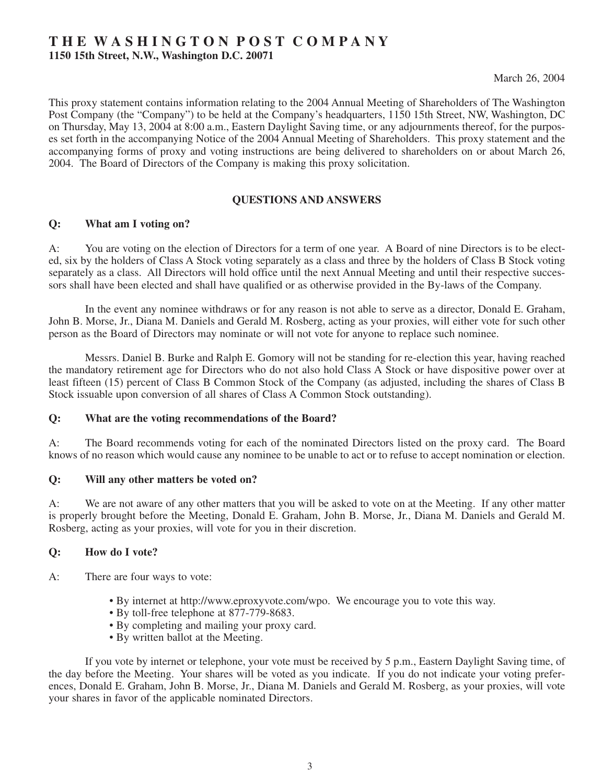# **T H E W A S H I N G T O N P O S T C O M P A N Y**

**1150 15th Street, N.W., Washington D.C. 20071**

March 26, 2004

This proxy statement contains information relating to the 2004 Annual Meeting of Shareholders of The Washington Post Company (the "Company") to be held at the Company's headquarters, 1150 15th Street, NW, Washington, DC on Thursday, May 13, 2004 at 8:00 a.m., Eastern Daylight Saving time, or any adjournments thereof, for the purposes set forth in the accompanying Notice of the 2004 Annual Meeting of Shareholders. This proxy statement and the accompanying forms of proxy and voting instructions are being delivered to shareholders on or about March 26, 2004. The Board of Directors of the Company is making this proxy solicitation.

## **QUESTIONS AND ANSWERS**

## **Q: What am I voting on?**

A: You are voting on the election of Directors for a term of one year. A Board of nine Directors is to be elected, six by the holders of Class A Stock voting separately as a class and three by the holders of Class B Stock voting separately as a class. All Directors will hold office until the next Annual Meeting and until their respective successors shall have been elected and shall have qualified or as otherwise provided in the By-laws of the Company.

In the event any nominee withdraws or for any reason is not able to serve as a director, Donald E. Graham, John B. Morse, Jr., Diana M. Daniels and Gerald M. Rosberg, acting as your proxies, will either vote for such other person as the Board of Directors may nominate or will not vote for anyone to replace such nominee.

Messrs. Daniel B. Burke and Ralph E. Gomory will not be standing for re-election this year, having reached the mandatory retirement age for Directors who do not also hold Class A Stock or have dispositive power over at least fifteen (15) percent of Class B Common Stock of the Company (as adjusted, including the shares of Class B Stock issuable upon conversion of all shares of Class A Common Stock outstanding).

## **Q: What are the voting recommendations of the Board?**

A: The Board recommends voting for each of the nominated Directors listed on the proxy card. The Board knows of no reason which would cause any nominee to be unable to act or to refuse to accept nomination or election.

#### **Q: Will any other matters be voted on?**

A: We are not aware of any other matters that you will be asked to vote on at the Meeting. If any other matter is properly brought before the Meeting, Donald E. Graham, John B. Morse, Jr., Diana M. Daniels and Gerald M. Rosberg, acting as your proxies, will vote for you in their discretion.

## **Q: How do I vote?**

- A: There are four ways to vote:
	- By internet at http://www.eproxyvote.com/wpo. We encourage you to vote this way.
	- By toll-free telephone at 877-779-8683.
	- By completing and mailing your proxy card.
	- By written ballot at the Meeting.

If you vote by internet or telephone, your vote must be received by 5 p.m., Eastern Daylight Saving time, of the day before the Meeting. Your shares will be voted as you indicate. If you do not indicate your voting preferences, Donald E. Graham, John B. Morse, Jr., Diana M. Daniels and Gerald M. Rosberg, as your proxies, will vote your shares in favor of the applicable nominated Directors.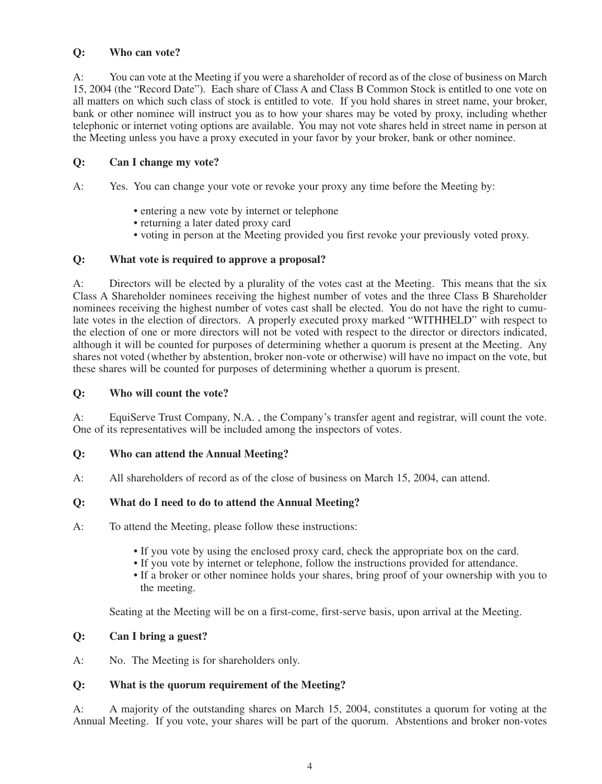## **Q: Who can vote?**

A: You can vote at the Meeting if you were a shareholder of record as of the close of business on March 15, 2004 (the "Record Date"). Each share of Class A and Class B Common Stock is entitled to one vote on all matters on which such class of stock is entitled to vote. If you hold shares in street name, your broker, bank or other nominee will instruct you as to how your shares may be voted by proxy, including whether telephonic or internet voting options are available. You may not vote shares held in street name in person at the Meeting unless you have a proxy executed in your favor by your broker, bank or other nominee.

## **Q: Can I change my vote?**

A: Yes. You can change your vote or revoke your proxy any time before the Meeting by:

- entering a new vote by internet or telephone
- returning a later dated proxy card
- voting in person at the Meeting provided you first revoke your previously voted proxy.

## **Q: What vote is required to approve a proposal?**

A: Directors will be elected by a plurality of the votes cast at the Meeting. This means that the six Class A Shareholder nominees receiving the highest number of votes and the three Class B Shareholder nominees receiving the highest number of votes cast shall be elected. You do not have the right to cumulate votes in the election of directors. A properly executed proxy marked "WITHHELD" with respect to the election of one or more directors will not be voted with respect to the director or directors indicated, although it will be counted for purposes of determining whether a quorum is present at the Meeting. Any shares not voted (whether by abstention, broker non-vote or otherwise) will have no impact on the vote, but these shares will be counted for purposes of determining whether a quorum is present.

## **Q: Who will count the vote?**

A: EquiServe Trust Company, N.A. , the Company's transfer agent and registrar, will count the vote. One of its representatives will be included among the inspectors of votes.

## **Q: Who can attend the Annual Meeting?**

A: All shareholders of record as of the close of business on March 15, 2004, can attend.

## **Q: What do I need to do to attend the Annual Meeting?**

- A: To attend the Meeting, please follow these instructions:
	- If you vote by using the enclosed proxy card, check the appropriate box on the card.
	- If you vote by internet or telephone, follow the instructions provided for attendance.
	- If a broker or other nominee holds your shares, bring proof of your ownership with you to the meeting.

Seating at the Meeting will be on a first-come, first-serve basis, upon arrival at the Meeting.

## **Q: Can I bring a guest?**

A: No. The Meeting is for shareholders only.

## **Q: What is the quorum requirement of the Meeting?**

A: A majority of the outstanding shares on March 15, 2004, constitutes a quorum for voting at the Annual Meeting. If you vote, your shares will be part of the quorum. Abstentions and broker non-votes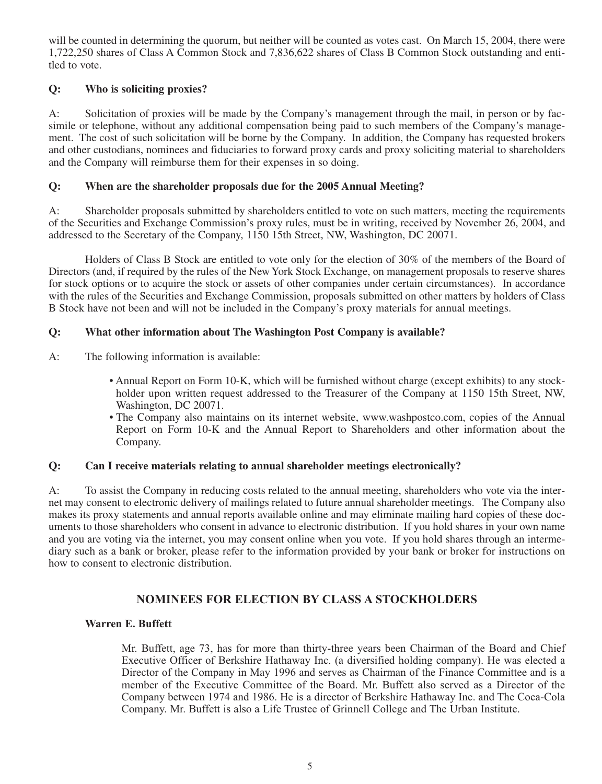will be counted in determining the quorum, but neither will be counted as votes cast. On March 15, 2004, there were 1,722,250 shares of Class A Common Stock and 7,836,622 shares of Class B Common Stock outstanding and entitled to vote.

## **Q: Who is soliciting proxies?**

A: Solicitation of proxies will be made by the Company's management through the mail, in person or by facsimile or telephone, without any additional compensation being paid to such members of the Company's management. The cost of such solicitation will be borne by the Company. In addition, the Company has requested brokers and other custodians, nominees and fiduciaries to forward proxy cards and proxy soliciting material to shareholders and the Company will reimburse them for their expenses in so doing.

## **Q: When are the shareholder proposals due for the 2005 Annual Meeting?**

A: Shareholder proposals submitted by shareholders entitled to vote on such matters, meeting the requirements of the Securities and Exchange Commission's proxy rules, must be in writing, received by November 26, 2004, and addressed to the Secretary of the Company, 1150 15th Street, NW, Washington, DC 20071.

Holders of Class B Stock are entitled to vote only for the election of 30% of the members of the Board of Directors (and, if required by the rules of the New York Stock Exchange, on management proposals to reserve shares for stock options or to acquire the stock or assets of other companies under certain circumstances). In accordance with the rules of the Securities and Exchange Commission, proposals submitted on other matters by holders of Class B Stock have not been and will not be included in the Company's proxy materials for annual meetings.

## **Q: What other information about The Washington Post Company is available?**

- A: The following information is available:
	- Annual Report on Form 10-K, which will be furnished without charge (except exhibits) to any stockholder upon written request addressed to the Treasurer of the Company at 1150 15th Street, NW, Washington, DC 20071.
	- The Company also maintains on its internet website, www.washpostco.com, copies of the Annual Report on Form 10-K and the Annual Report to Shareholders and other information about the Company.

## **Q: Can I receive materials relating to annual shareholder meetings electronically?**

A: To assist the Company in reducing costs related to the annual meeting, shareholders who vote via the internet may consent to electronic delivery of mailings related to future annual shareholder meetings. The Company also makes its proxy statements and annual reports available online and may eliminate mailing hard copies of these documents to those shareholders who consent in advance to electronic distribution. If you hold shares in your own name and you are voting via the internet, you may consent online when you vote. If you hold shares through an intermediary such as a bank or broker, please refer to the information provided by your bank or broker for instructions on how to consent to electronic distribution.

## **NOMINEES FOR ELECTION BY CLASS A STOCKHOLDERS**

## **Warren E. Buffett**

Mr. Buffett, age 73, has for more than thirty-three years been Chairman of the Board and Chief Executive Officer of Berkshire Hathaway Inc. (a diversified holding company). He was elected a Director of the Company in May 1996 and serves as Chairman of the Finance Committee and is a member of the Executive Committee of the Board. Mr. Buffett also served as a Director of the Company between 1974 and 1986. He is a director of Berkshire Hathaway Inc. and The Coca-Cola Company. Mr. Buffett is also a Life Trustee of Grinnell College and The Urban Institute.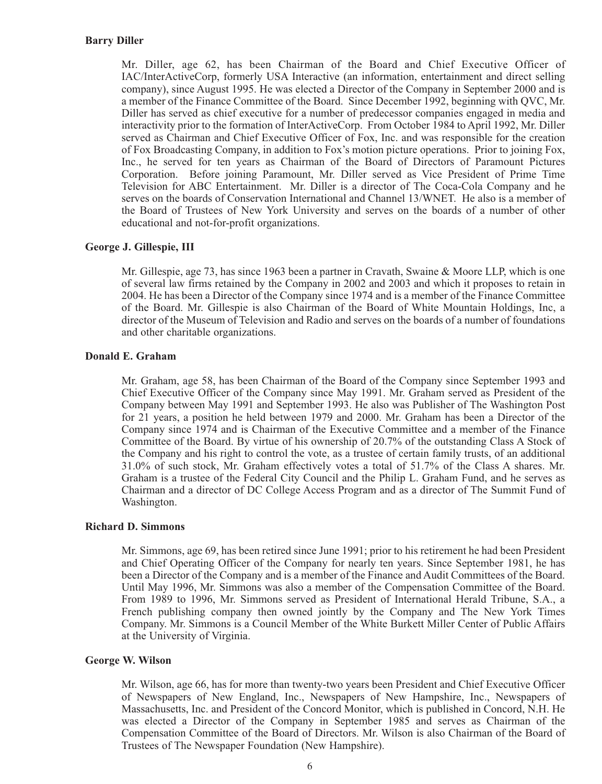Mr. Diller, age 62, has been Chairman of the Board and Chief Executive Officer of IAC/InterActiveCorp, formerly USA Interactive (an information, entertainment and direct selling company), since August 1995. He was elected a Director of the Company in September 2000 and is a member of the Finance Committee of the Board. Since December 1992, beginning with QVC, Mr. Diller has served as chief executive for a number of predecessor companies engaged in media and interactivity prior to the formation of InterActiveCorp. From October 1984 to April 1992, Mr. Diller served as Chairman and Chief Executive Officer of Fox, Inc. and was responsible for the creation of Fox Broadcasting Company, in addition to Fox's motion picture operations. Prior to joining Fox, Inc., he served for ten years as Chairman of the Board of Directors of Paramount Pictures Corporation. Before joining Paramount, Mr. Diller served as Vice President of Prime Time Television for ABC Entertainment. Mr. Diller is a director of The Coca-Cola Company and he serves on the boards of Conservation International and Channel 13/WNET. He also is a member of the Board of Trustees of New York University and serves on the boards of a number of other educational and not-for-profit organizations.

## **George J. Gillespie, III**

Mr. Gillespie, age 73, has since 1963 been a partner in Cravath, Swaine & Moore LLP, which is one of several law firms retained by the Company in 2002 and 2003 and which it proposes to retain in 2004. He has been a Director of the Company since 1974 and is a member of the Finance Committee of the Board. Mr. Gillespie is also Chairman of the Board of White Mountain Holdings, Inc, a director of the Museum of Television and Radio and serves on the boards of a number of foundations and other charitable organizations.

## **Donald E. Graham**

Mr. Graham, age 58, has been Chairman of the Board of the Company since September 1993 and Chief Executive Officer of the Company since May 1991. Mr. Graham served as President of the Company between May 1991 and September 1993. He also was Publisher of The Washington Post for 21 years, a position he held between 1979 and 2000. Mr. Graham has been a Director of the Company since 1974 and is Chairman of the Executive Committee and a member of the Finance Committee of the Board. By virtue of his ownership of 20.7% of the outstanding Class A Stock of the Company and his right to control the vote, as a trustee of certain family trusts, of an additional 31.0% of such stock, Mr. Graham effectively votes a total of 51.7% of the Class A shares. Mr. Graham is a trustee of the Federal City Council and the Philip L. Graham Fund, and he serves as Chairman and a director of DC College Access Program and as a director of The Summit Fund of Washington.

## **Richard D. Simmons**

Mr. Simmons, age 69, has been retired since June 1991; prior to his retirement he had been President and Chief Operating Officer of the Company for nearly ten years. Since September 1981, he has been a Director of the Company and is a member of the Finance and Audit Committees of the Board. Until May 1996, Mr. Simmons was also a member of the Compensation Committee of the Board. From 1989 to 1996, Mr. Simmons served as President of International Herald Tribune, S.A., a French publishing company then owned jointly by the Company and The New York Times Company. Mr. Simmons is a Council Member of the White Burkett Miller Center of Public Affairs at the University of Virginia.

## **George W. Wilson**

Mr. Wilson, age 66, has for more than twenty-two years been President and Chief Executive Officer of Newspapers of New England, Inc., Newspapers of New Hampshire, Inc., Newspapers of Massachusetts, Inc. and President of the Concord Monitor, which is published in Concord, N.H. He was elected a Director of the Company in September 1985 and serves as Chairman of the Compensation Committee of the Board of Directors. Mr. Wilson is also Chairman of the Board of Trustees of The Newspaper Foundation (New Hampshire).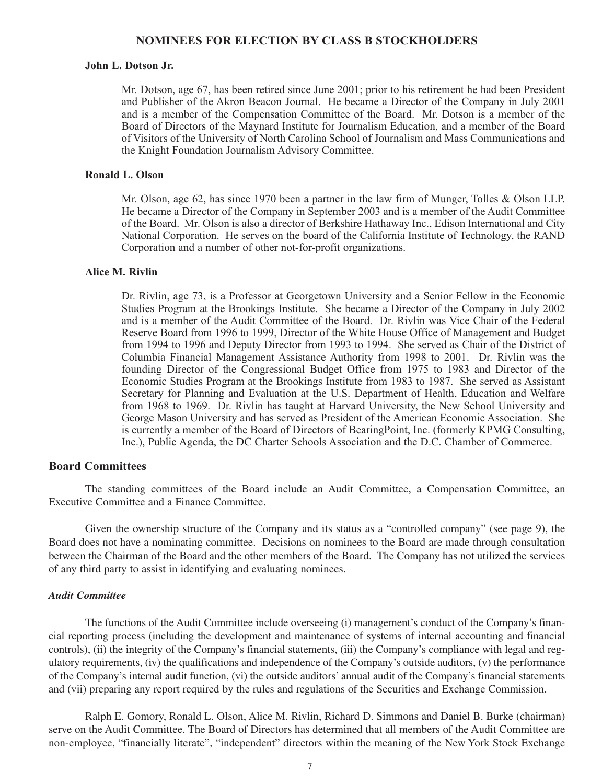## **NOMINEES FOR ELECTION BY CLASS B STOCKHOLDERS**

## **John L. Dotson Jr.**

Mr. Dotson, age 67, has been retired since June 2001; prior to his retirement he had been President and Publisher of the Akron Beacon Journal. He became a Director of the Company in July 2001 and is a member of the Compensation Committee of the Board. Mr. Dotson is a member of the Board of Directors of the Maynard Institute for Journalism Education, and a member of the Board of Visitors of the University of North Carolina School of Journalism and Mass Communications and the Knight Foundation Journalism Advisory Committee.

## **Ronald L. Olson**

Mr. Olson, age 62, has since 1970 been a partner in the law firm of Munger, Tolles & Olson LLP. He became a Director of the Company in September 2003 and is a member of the Audit Committee of the Board. Mr. Olson is also a director of Berkshire Hathaway Inc., Edison International and City National Corporation. He serves on the board of the California Institute of Technology, the RAND Corporation and a number of other not-for-profit organizations.

#### **Alice M. Rivlin**

Dr. Rivlin, age 73, is a Professor at Georgetown University and a Senior Fellow in the Economic Studies Program at the Brookings Institute. She became a Director of the Company in July 2002 and is a member of the Audit Committee of the Board. Dr. Rivlin was Vice Chair of the Federal Reserve Board from 1996 to 1999, Director of the White House Office of Management and Budget from 1994 to 1996 and Deputy Director from 1993 to 1994. She served as Chair of the District of Columbia Financial Management Assistance Authority from 1998 to 2001. Dr. Rivlin was the founding Director of the Congressional Budget Office from 1975 to 1983 and Director of the Economic Studies Program at the Brookings Institute from 1983 to 1987. She served as Assistant Secretary for Planning and Evaluation at the U.S. Department of Health, Education and Welfare from 1968 to 1969. Dr. Rivlin has taught at Harvard University, the New School University and George Mason University and has served as President of the American Economic Association. She is currently a member of the Board of Directors of BearingPoint, Inc. (formerly KPMG Consulting, Inc.), Public Agenda, the DC Charter Schools Association and the D.C. Chamber of Commerce.

### **Board Committees**

The standing committees of the Board include an Audit Committee, a Compensation Committee, an Executive Committee and a Finance Committee.

Given the ownership structure of the Company and its status as a "controlled company" (see page 9), the Board does not have a nominating committee. Decisions on nominees to the Board are made through consultation between the Chairman of the Board and the other members of the Board. The Company has not utilized the services of any third party to assist in identifying and evaluating nominees.

#### *Audit Committee*

The functions of the Audit Committee include overseeing (i) management's conduct of the Company's financial reporting process (including the development and maintenance of systems of internal accounting and financial controls), (ii) the integrity of the Company's financial statements, (iii) the Company's compliance with legal and regulatory requirements, (iv) the qualifications and independence of the Company's outside auditors, (v) the performance of the Company's internal audit function, (vi) the outside auditors' annual audit of the Company's financial statements and (vii) preparing any report required by the rules and regulations of the Securities and Exchange Commission.

Ralph E. Gomory, Ronald L. Olson, Alice M. Rivlin, Richard D. Simmons and Daniel B. Burke (chairman) serve on the Audit Committee. The Board of Directors has determined that all members of the Audit Committee are non-employee, "financially literate", "independent" directors within the meaning of the New York Stock Exchange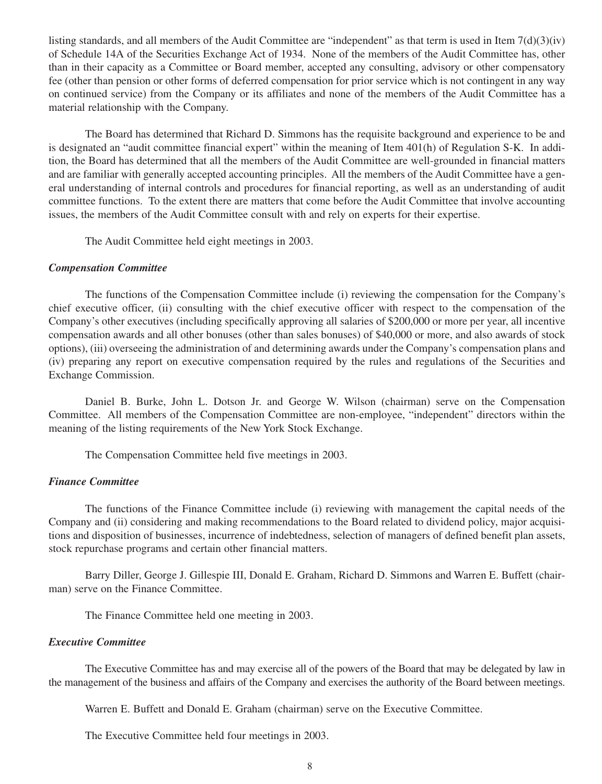listing standards, and all members of the Audit Committee are "independent" as that term is used in Item 7(d)(3)(iv) of Schedule 14A of the Securities Exchange Act of 1934. None of the members of the Audit Committee has, other than in their capacity as a Committee or Board member, accepted any consulting, advisory or other compensatory fee (other than pension or other forms of deferred compensation for prior service which is not contingent in any way on continued service) from the Company or its affiliates and none of the members of the Audit Committee has a material relationship with the Company.

The Board has determined that Richard D. Simmons has the requisite background and experience to be and is designated an "audit committee financial expert" within the meaning of Item 401(h) of Regulation S-K. In addition, the Board has determined that all the members of the Audit Committee are well-grounded in financial matters and are familiar with generally accepted accounting principles. All the members of the Audit Committee have a general understanding of internal controls and procedures for financial reporting, as well as an understanding of audit committee functions. To the extent there are matters that come before the Audit Committee that involve accounting issues, the members of the Audit Committee consult with and rely on experts for their expertise.

The Audit Committee held eight meetings in 2003.

## *Compensation Committee*

The functions of the Compensation Committee include (i) reviewing the compensation for the Company's chief executive officer, (ii) consulting with the chief executive officer with respect to the compensation of the Company's other executives (including specifically approving all salaries of \$200,000 or more per year, all incentive compensation awards and all other bonuses (other than sales bonuses) of \$40,000 or more, and also awards of stock options), (iii) overseeing the administration of and determining awards under the Company's compensation plans and (iv) preparing any report on executive compensation required by the rules and regulations of the Securities and Exchange Commission.

Daniel B. Burke, John L. Dotson Jr. and George W. Wilson (chairman) serve on the Compensation Committee. All members of the Compensation Committee are non-employee, "independent" directors within the meaning of the listing requirements of the New York Stock Exchange.

The Compensation Committee held five meetings in 2003.

## *Finance Committee*

The functions of the Finance Committee include (i) reviewing with management the capital needs of the Company and (ii) considering and making recommendations to the Board related to dividend policy, major acquisitions and disposition of businesses, incurrence of indebtedness, selection of managers of defined benefit plan assets, stock repurchase programs and certain other financial matters.

Barry Diller, George J. Gillespie III, Donald E. Graham, Richard D. Simmons and Warren E. Buffett (chairman) serve on the Finance Committee.

The Finance Committee held one meeting in 2003.

## *Executive Committee*

The Executive Committee has and may exercise all of the powers of the Board that may be delegated by law in the management of the business and affairs of the Company and exercises the authority of the Board between meetings.

Warren E. Buffett and Donald E. Graham (chairman) serve on the Executive Committee.

The Executive Committee held four meetings in 2003.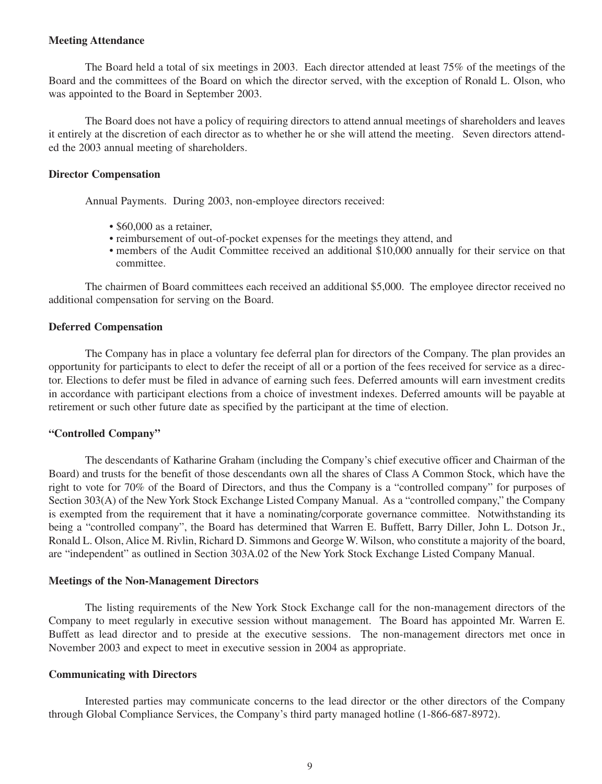#### **Meeting Attendance**

The Board held a total of six meetings in 2003. Each director attended at least 75% of the meetings of the Board and the committees of the Board on which the director served, with the exception of Ronald L. Olson, who was appointed to the Board in September 2003.

The Board does not have a policy of requiring directors to attend annual meetings of shareholders and leaves it entirely at the discretion of each director as to whether he or she will attend the meeting. Seven directors attended the 2003 annual meeting of shareholders.

#### **Director Compensation**

Annual Payments. During 2003, non-employee directors received:

- \$60,000 as a retainer.
- reimbursement of out-of-pocket expenses for the meetings they attend, and
- members of the Audit Committee received an additional \$10,000 annually for their service on that committee.

The chairmen of Board committees each received an additional \$5,000. The employee director received no additional compensation for serving on the Board.

## **Deferred Compensation**

The Company has in place a voluntary fee deferral plan for directors of the Company. The plan provides an opportunity for participants to elect to defer the receipt of all or a portion of the fees received for service as a director. Elections to defer must be filed in advance of earning such fees. Deferred amounts will earn investment credits in accordance with participant elections from a choice of investment indexes. Deferred amounts will be payable at retirement or such other future date as specified by the participant at the time of election.

#### **"Controlled Company"**

The descendants of Katharine Graham (including the Company's chief executive officer and Chairman of the Board) and trusts for the benefit of those descendants own all the shares of Class A Common Stock, which have the right to vote for 70% of the Board of Directors, and thus the Company is a "controlled company" for purposes of Section 303(A) of the New York Stock Exchange Listed Company Manual. As a "controlled company," the Company is exempted from the requirement that it have a nominating/corporate governance committee. Notwithstanding its being a "controlled company", the Board has determined that Warren E. Buffett, Barry Diller, John L. Dotson Jr., Ronald L. Olson, Alice M. Rivlin, Richard D. Simmons and George W. Wilson, who constitute a majority of the board, are "independent" as outlined in Section 303A.02 of the New York Stock Exchange Listed Company Manual.

#### **Meetings of the Non-Management Directors**

The listing requirements of the New York Stock Exchange call for the non-management directors of the Company to meet regularly in executive session without management. The Board has appointed Mr. Warren E. Buffett as lead director and to preside at the executive sessions. The non-management directors met once in November 2003 and expect to meet in executive session in 2004 as appropriate.

#### **Communicating with Directors**

Interested parties may communicate concerns to the lead director or the other directors of the Company through Global Compliance Services, the Company's third party managed hotline (1-866-687-8972).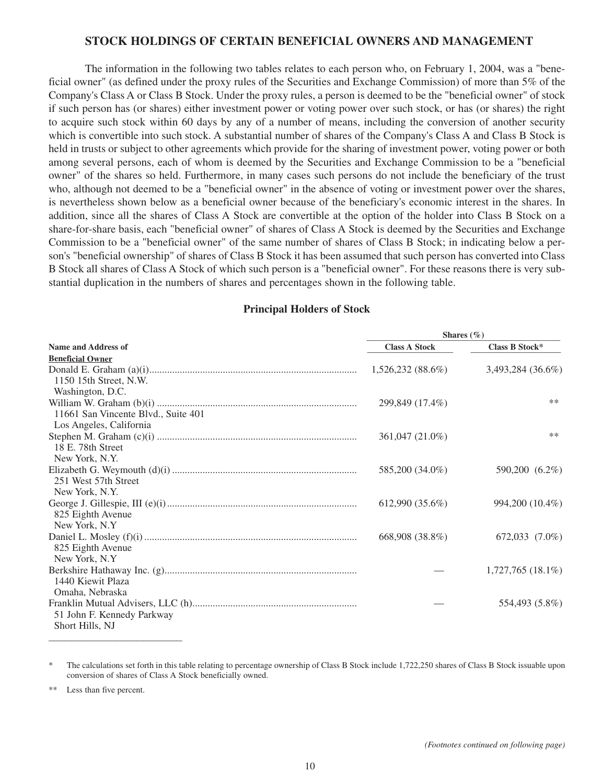### **STOCK HOLDINGS OF CERTAIN BENEFICIAL OWNERS AND MANAGEMENT**

The information in the following two tables relates to each person who, on February 1, 2004, was a "beneficial owner" (as defined under the proxy rules of the Securities and Exchange Commission) of more than 5% of the Company's Class A or Class B Stock. Under the proxy rules, a person is deemed to be the "beneficial owner" of stock if such person has (or shares) either investment power or voting power over such stock, or has (or shares) the right to acquire such stock within 60 days by any of a number of means, including the conversion of another security which is convertible into such stock. A substantial number of shares of the Company's Class A and Class B Stock is held in trusts or subject to other agreements which provide for the sharing of investment power, voting power or both among several persons, each of whom is deemed by the Securities and Exchange Commission to be a "beneficial owner" of the shares so held. Furthermore, in many cases such persons do not include the beneficiary of the trust who, although not deemed to be a "beneficial owner" in the absence of voting or investment power over the shares, is nevertheless shown below as a beneficial owner because of the beneficiary's economic interest in the shares. In addition, since all the shares of Class A Stock are convertible at the option of the holder into Class B Stock on a share-for-share basis, each "beneficial owner" of shares of Class A Stock is deemed by the Securities and Exchange Commission to be a "beneficial owner" of the same number of shares of Class B Stock; in indicating below a person's "beneficial ownership" of shares of Class B Stock it has been assumed that such person has converted into Class B Stock all shares of Class A Stock of which such person is a "beneficial owner". For these reasons there is very substantial duplication in the numbers of shares and percentages shown in the following table.

## **Principal Holders of Stock**

|                                     | Shares $(\%)$        |                   |  |  |
|-------------------------------------|----------------------|-------------------|--|--|
| Name and Address of                 | <b>Class A Stock</b> | Class B Stock*    |  |  |
| <b>Beneficial Owner</b>             |                      |                   |  |  |
|                                     | $1,526,232(88.6\%)$  | 3,493,284 (36.6%) |  |  |
| 1150 15th Street, N.W.              |                      |                   |  |  |
| Washington, D.C.                    |                      |                   |  |  |
|                                     | 299,849 (17.4%)      | $***$             |  |  |
| 11661 San Vincente Blvd., Suite 401 |                      |                   |  |  |
| Los Angeles, California             |                      |                   |  |  |
|                                     | 361,047 (21.0%)      | **                |  |  |
| 18 E. 78th Street                   |                      |                   |  |  |
| New York, N.Y.                      |                      |                   |  |  |
|                                     | 585,200 (34.0%)      | 590,200 (6.2%)    |  |  |
| 251 West 57th Street                |                      |                   |  |  |
| New York, N.Y.                      |                      |                   |  |  |
|                                     | 612,990 (35.6%)      | 994,200 (10.4%)   |  |  |
| 825 Eighth Avenue                   |                      |                   |  |  |
| New York, N.Y.                      |                      |                   |  |  |
|                                     | 668,908 (38.8%)      | 672,033 (7.0%)    |  |  |
| 825 Eighth Avenue                   |                      |                   |  |  |
| New York, N.Y.                      |                      | 1,727,765 (18.1%) |  |  |
| 1440 Kiewit Plaza                   |                      |                   |  |  |
| Omaha, Nebraska                     |                      |                   |  |  |
|                                     |                      | 554,493 (5.8%)    |  |  |
| 51 John F. Kennedy Parkway          |                      |                   |  |  |
| Short Hills, NJ                     |                      |                   |  |  |
|                                     |                      |                   |  |  |

\* The calculations set forth in this table relating to percentage ownership of Class B Stock include 1,722,250 shares of Class B Stock issuable upon conversion of shares of Class A Stock beneficially owned.

Less than five percent.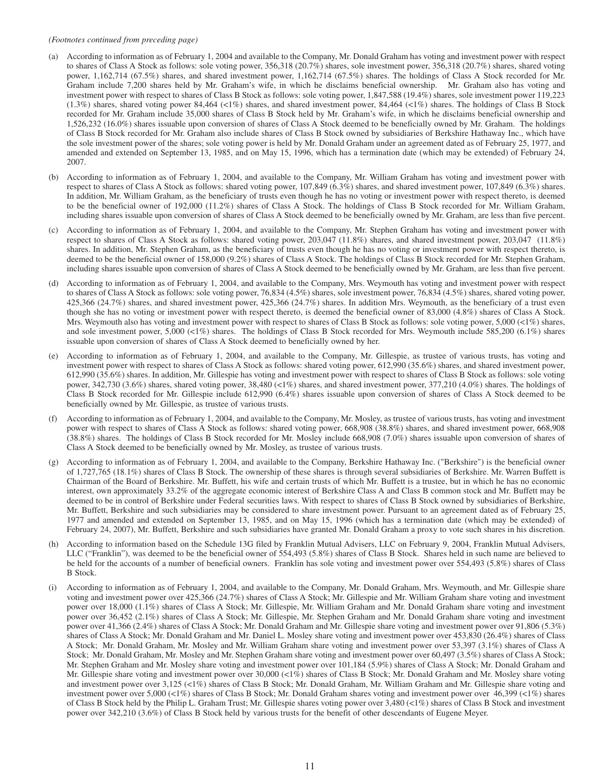#### *(Footnotes continued from preceding page)*

- (a) According to information as of February 1, 2004 and available to the Company, Mr. Donald Graham has voting and investment power with respect to shares of Class A Stock as follows: sole voting power, 356,318 (20.7%) shares, sole investment power, 356,318 (20.7%) shares, shared voting power, 1,162,714 (67.5%) shares, and shared investment power, 1,162,714 (67.5%) shares. The holdings of Class A Stock recorded for Mr. Graham include 7,200 shares held by Mr. Graham's wife, in which he disclaims beneficial ownership. Mr. Graham also has voting and investment power with respect to shares of Class B Stock as follows: sole voting power, 1,847,588 (19.4%) shares, sole investment power 119,223  $(1.3\%)$  shares, shared voting power 84,464 (<1%) shares, and shared investment power, 84,464 (<1%) shares. The holdings of Class B Stock recorded for Mr. Graham include 35,000 shares of Class B Stock held by Mr. Graham's wife, in which he disclaims beneficial ownership and 1,526,232 (16.0%) shares issuable upon conversion of shares of Class A Stock deemed to be beneficially owned by Mr. Graham. The holdings of Class B Stock recorded for Mr. Graham also include shares of Class B Stock owned by subsidiaries of Berkshire Hathaway Inc., which have the sole investment power of the shares; sole voting power is held by Mr. Donald Graham under an agreement dated as of February 25, 1977, and amended and extended on September 13, 1985, and on May 15, 1996, which has a termination date (which may be extended) of February 24, 2007.
- (b) According to information as of February 1, 2004, and available to the Company, Mr. William Graham has voting and investment power with respect to shares of Class A Stock as follows: shared voting power, 107,849 (6.3%) shares, and shared investment power, 107,849 (6.3%) shares. In addition, Mr. William Graham, as the beneficiary of trusts even though he has no voting or investment power with respect thereto, is deemed to be the beneficial owner of 192,000 (11.2%) shares of Class A Stock. The holdings of Class B Stock recorded for Mr. William Graham, including shares issuable upon conversion of shares of Class A Stock deemed to be beneficially owned by Mr. Graham, are less than five percent.
- (c) According to information as of February 1, 2004, and available to the Company, Mr. Stephen Graham has voting and investment power with respect to shares of Class A Stock as follows: shared voting power, 203,047 (11.8%) shares, and shared investment power, 203,047 (11.8%) shares. In addition, Mr. Stephen Graham, as the beneficiary of trusts even though he has no voting or investment power with respect thereto, is deemed to be the beneficial owner of 158,000 (9.2%) shares of Class A Stock. The holdings of Class B Stock recorded for Mr. Stephen Graham, including shares issuable upon conversion of shares of Class A Stock deemed to be beneficially owned by Mr. Graham, are less than five percent.
- (d) According to information as of February 1, 2004, and available to the Company, Mrs. Weymouth has voting and investment power with respect to shares of Class A Stock as follows: sole voting power, 76,834 (4.5%) shares, sole investment power, 76,834 (4.5%) shares, shared voting power, 425,366 (24.7%) shares, and shared investment power, 425,366 (24.7%) shares. In addition Mrs. Weymouth, as the beneficiary of a trust even though she has no voting or investment power with respect thereto, is deemed the beneficial owner of 83,000 (4.8%) shares of Class A Stock. Mrs. Weymouth also has voting and investment power with respect to shares of Class B Stock as follows: sole voting power, 5,000 (<1%) shares, and sole investment power, 5,000 (<1%) shares. The holdings of Class B Stock recorded for Mrs. Weymouth include 585,200 (6.1%) shares issuable upon conversion of shares of Class A Stock deemed to beneficially owned by her.
- (e) According to information as of February 1, 2004, and available to the Company, Mr. Gillespie, as trustee of various trusts, has voting and investment power with respect to shares of Class A Stock as follows: shared voting power, 612,990 (35.6%) shares, and shared investment power, 612,990 (35.6%) shares. In addition, Mr. Gillespie has voting and investment power with respect to shares of Class B Stock as follows: sole voting power, 342,730 (3.6%) shares, shared voting power, 38,480 (<1%) shares, and shared investment power, 377,210 (4.0%) shares. The holdings of Class B Stock recorded for Mr. Gillespie include 612,990 (6.4%) shares issuable upon conversion of shares of Class A Stock deemed to be beneficially owned by Mr. Gillespie, as trustee of various trusts.
- (f) According to information as of February 1, 2004, and available to the Company, Mr. Mosley, as trustee of various trusts, has voting and investment power with respect to shares of Class A Stock as follows: shared voting power, 668,908 (38.8%) shares, and shared investment power, 668,908 (38.8%) shares. The holdings of Class B Stock recorded for Mr. Mosley include 668,908 (7.0%) shares issuable upon conversion of shares of Class A Stock deemed to be beneficially owned by Mr. Mosley, as trustee of various trusts.
- (g) According to information as of February 1, 2004, and available to the Company, Berkshire Hathaway Inc. ("Berkshire") is the beneficial owner of 1,727,765 (18.1%) shares of Class B Stock. The ownership of these shares is through several subsidiaries of Berkshire. Mr. Warren Buffett is Chairman of the Board of Berkshire. Mr. Buffett, his wife and certain trusts of which Mr. Buffett is a trustee, but in which he has no economic interest, own approximately 33.2% of the aggregate economic interest of Berkshire Class A and Class B common stock and Mr. Buffett may be deemed to be in control of Berkshire under Federal securities laws. With respect to shares of Class B Stock owned by subsidiaries of Berkshire, Mr. Buffett, Berkshire and such subsidiaries may be considered to share investment power. Pursuant to an agreement dated as of February 25, 1977 and amended and extended on September 13, 1985, and on May 15, 1996 (which has a termination date (which may be extended) of February 24, 2007), Mr. Buffett, Berkshire and such subsidiaries have granted Mr. Donald Graham a proxy to vote such shares in his discretion.
- (h) According to information based on the Schedule 13G filed by Franklin Mutual Advisers, LLC on February 9, 2004, Franklin Mutual Advisers, LLC ("Franklin"), was deemed to be the beneficial owner of 554,493 (5.8%) shares of Class B Stock. Shares held in such name are believed to be held for the accounts of a number of beneficial owners. Franklin has sole voting and investment power over 554,493 (5.8%) shares of Class B Stock.
- (i) According to information as of February 1, 2004, and available to the Company, Mr. Donald Graham, Mrs. Weymouth, and Mr. Gillespie share voting and investment power over 425,366 (24.7%) shares of Class A Stock; Mr. Gillespie and Mr. William Graham share voting and investment power over 18,000 (1.1%) shares of Class A Stock; Mr. Gillespie, Mr. William Graham and Mr. Donald Graham share voting and investment power over 36,452 (2.1%) shares of Class A Stock; Mr. Gillespie, Mr. Stephen Graham and Mr. Donald Graham share voting and investment power over 41,366 (2.4%) shares of Class A Stock; Mr. Donald Graham and Mr. Gillespie share voting and investment power over 91,806 (5.3%) shares of Class A Stock; Mr. Donald Graham and Mr. Daniel L. Mosley share voting and investment power over 453,830 (26.4%) shares of Class A Stock; Mr. Donald Graham, Mr. Mosley and Mr. William Graham share voting and investment power over 53,397 (3.1%) shares of Class A Stock; Mr. Donald Graham, Mr. Mosley and Mr. Stephen Graham share voting and investment power over 60,497 (3.5%) shares of Class A Stock; Mr. Stephen Graham and Mr. Mosley share voting and investment power over 101,184 (5.9%) shares of Class A Stock; Mr. Donald Graham and Mr. Gillespie share voting and investment power over 30,000 (<1%) shares of Class B Stock; Mr. Donald Graham and Mr. Mosley share voting and investment power over 3,125 (<1%) shares of Class B Stock; Mr. Donald Graham, Mr. William Graham and Mr. Gillespie share voting and investment power over 5,000 (<1%) shares of Class B Stock; Mr. Donald Graham shares voting and investment power over 46,399 (<1%) shares of Class B Stock held by the Philip L. Graham Trust; Mr. Gillespie shares voting power over 3,480 (<1%) shares of Class B Stock and investment power over 342,210 (3.6%) of Class B Stock held by various trusts for the benefit of other descendants of Eugene Meyer.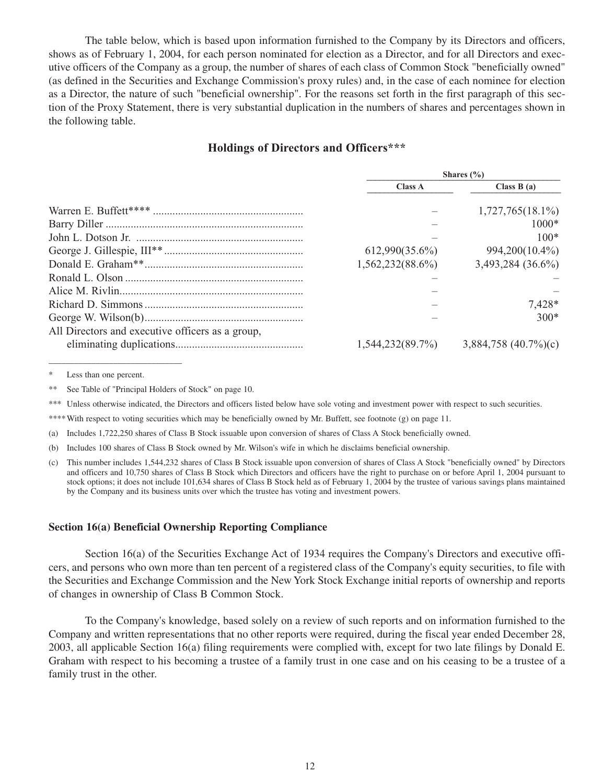The table below, which is based upon information furnished to the Company by its Directors and officers, shows as of February 1, 2004, for each person nominated for election as a Director, and for all Directors and executive officers of the Company as a group, the number of shares of each class of Common Stock "beneficially owned" (as defined in the Securities and Exchange Commission's proxy rules) and, in the case of each nominee for election as a Director, the nature of such "beneficial ownership". For the reasons set forth in the first paragraph of this section of the Proxy Statement, there is very substantial duplication in the numbers of shares and percentages shown in the following table.

### **Holdings of Directors and Officers\*\*\***

|                                                  | Shares $(\% )$      |                          |  |
|--------------------------------------------------|---------------------|--------------------------|--|
|                                                  | <b>Class A</b>      | Class $B(a)$             |  |
|                                                  |                     | $1,727,765(18.1\%)$      |  |
|                                                  |                     | $1000*$                  |  |
|                                                  |                     | $100*$                   |  |
|                                                  | $612,990(35.6\%)$   | 994,200(10.4%)           |  |
|                                                  | 1,562,232(88.6%)    | 3,493,284 (36.6%)        |  |
|                                                  |                     |                          |  |
|                                                  |                     |                          |  |
|                                                  |                     | $7.428*$                 |  |
|                                                  |                     | $300*$                   |  |
| All Directors and executive officers as a group, |                     |                          |  |
|                                                  | $1,544,232(89.7\%)$ | 3,884,758 $(40.7\%)$ (c) |  |

Less than one percent.

\_\_\_\_\_\_\_\_\_\_\_\_\_\_\_\_\_\_\_\_\_\_\_\_\_\_\_\_\_\_\_

\*\* See Table of "Principal Holders of Stock" on page 10.

\*\*\* Unless otherwise indicated, the Directors and officers listed below have sole voting and investment power with respect to such securities.

\*\*\*\*With respect to voting securities which may be beneficially owned by Mr. Buffett, see footnote (g) on page 11.

(a) Includes 1,722,250 shares of Class B Stock issuable upon conversion of shares of Class A Stock beneficially owned.

(b) Includes 100 shares of Class B Stock owned by Mr. Wilson's wife in which he disclaims beneficial ownership.

(c) This number includes 1,544,232 shares of Class B Stock issuable upon conversion of shares of Class A Stock "beneficially owned" by Directors and officers and 10,750 shares of Class B Stock which Directors and officers have the right to purchase on or before April 1, 2004 pursuant to stock options; it does not include 101,634 shares of Class B Stock held as of February 1, 2004 by the trustee of various savings plans maintained by the Company and its business units over which the trustee has voting and investment powers.

#### **Section 16(a) Beneficial Ownership Reporting Compliance**

Section 16(a) of the Securities Exchange Act of 1934 requires the Company's Directors and executive officers, and persons who own more than ten percent of a registered class of the Company's equity securities, to file with the Securities and Exchange Commission and the New York Stock Exchange initial reports of ownership and reports of changes in ownership of Class B Common Stock.

To the Company's knowledge, based solely on a review of such reports and on information furnished to the Company and written representations that no other reports were required, during the fiscal year ended December 28, 2003, all applicable Section 16(a) filing requirements were complied with, except for two late filings by Donald E. Graham with respect to his becoming a trustee of a family trust in one case and on his ceasing to be a trustee of a family trust in the other.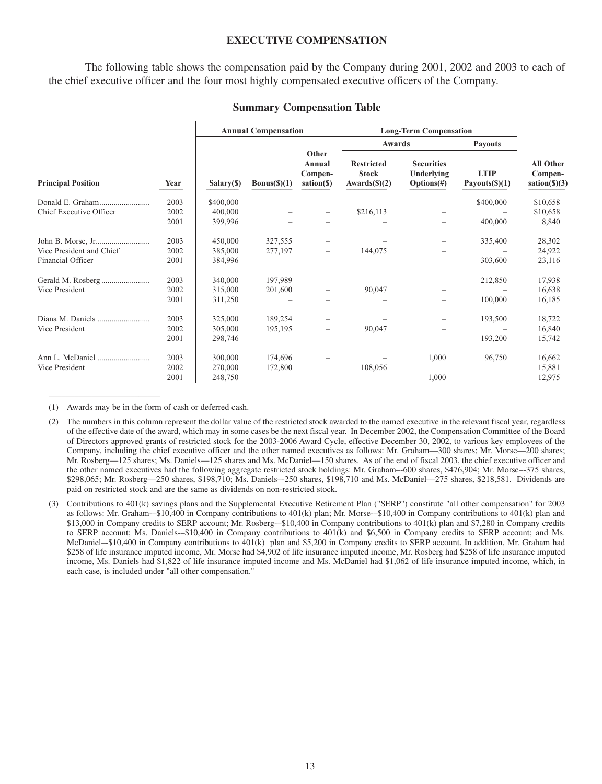#### **EXECUTIVE COMPENSATION**

The following table shows the compensation paid by the Company during 2001, 2002 and 2003 to each of the chief executive officer and the four most highly compensated executive officers of the Company.

|                           |      |            | <b>Annual Compensation</b> |                                          |                                                              | <b>Long-Term Compensation</b>                    |                                                                           |                                                      |  |  |
|---------------------------|------|------------|----------------------------|------------------------------------------|--------------------------------------------------------------|--------------------------------------------------|---------------------------------------------------------------------------|------------------------------------------------------|--|--|
|                           |      |            |                            |                                          | Awards                                                       |                                                  | <b>Payouts</b>                                                            |                                                      |  |  |
| <b>Principal Position</b> | Year | Salary(\$) | Bonus(\$)(1)               | Other<br>Annual<br>Compen-<br>sation(\$) | <b>Restricted</b><br><b>Stock</b><br>Awards $(\text{\$})(2)$ | <b>Securities</b><br>Underlying<br>$Options(\#)$ | <b>LTIP</b><br>Payouts $(\text{\$})(1)$                                   | <b>All Other</b><br>Compen-<br>$sation(\text{S})(3)$ |  |  |
|                           | 2003 | \$400,000  |                            |                                          |                                                              |                                                  | \$400,000                                                                 | \$10,658                                             |  |  |
| Chief Executive Officer   | 2002 | 400,000    |                            | $\overline{\phantom{m}}$                 | \$216,113                                                    |                                                  |                                                                           | \$10,658                                             |  |  |
|                           | 2001 | 399,996    |                            | $\overline{\phantom{a}}$                 |                                                              |                                                  | 400,000                                                                   | 8,840                                                |  |  |
|                           | 2003 | 450,000    | 327,555                    |                                          |                                                              | -                                                | 335,400                                                                   | 28,302                                               |  |  |
| Vice President and Chief  | 2002 | 385,000    | 277,197                    | $\qquad \qquad -$                        | 144,075                                                      | -                                                |                                                                           | 24,922                                               |  |  |
| Financial Officer         | 2001 | 384,996    |                            |                                          |                                                              |                                                  | 303,600                                                                   | 23,116                                               |  |  |
|                           | 2003 | 340,000    | 197,989                    |                                          |                                                              |                                                  | 212,850                                                                   | 17,938                                               |  |  |
| Vice President            | 2002 | 315,000    | 201,600                    | -                                        | 90,047                                                       |                                                  |                                                                           | 16,638                                               |  |  |
|                           | 2001 | 311,250    |                            |                                          |                                                              |                                                  | 100,000                                                                   | 16,185                                               |  |  |
|                           | 2003 | 325,000    | 189,254                    |                                          |                                                              | -                                                | 193,500                                                                   | 18,722                                               |  |  |
| Vice President            | 2002 | 305,000    | 195,195                    | $\qquad \qquad -$                        | 90,047                                                       | -                                                |                                                                           | 16,840                                               |  |  |
|                           | 2001 | 298,746    |                            |                                          |                                                              |                                                  | 193,200                                                                   | 15,742                                               |  |  |
|                           | 2003 | 300,000    | 174,696                    |                                          |                                                              | 1,000                                            | 96,750                                                                    | 16,662                                               |  |  |
| Vice President            | 2002 | 270,000    | 172,800                    | $\qquad \qquad -$                        | 108,056                                                      |                                                  |                                                                           | 15,881                                               |  |  |
|                           | 2001 | 248,750    |                            | -                                        |                                                              | 1,000                                            | $\hspace{1.0cm} \rule{1.5cm}{0.15cm} \hspace{1.0cm} \rule{1.5cm}{0.15cm}$ | 12,975                                               |  |  |

#### **Summary Compensation Table**

(1) Awards may be in the form of cash or deferred cash.

\_\_\_\_\_\_\_\_\_\_\_\_\_\_\_\_\_\_\_\_\_\_\_\_\_\_

<sup>(2)</sup> The numbers in this column represent the dollar value of the restricted stock awarded to the named executive in the relevant fiscal year, regardless of the effective date of the award, which may in some cases be the next fiscal year. In December 2002, the Compensation Committee of the Board of Directors approved grants of restricted stock for the 2003-2006 Award Cycle, effective December 30, 2002, to various key employees of the Company, including the chief executive officer and the other named executives as follows: Mr. Graham—300 shares; Mr. Morse—200 shares; Mr. Rosberg—125 shares; Ms. Daniels—125 shares and Ms. McDaniel—150 shares. As of the end of fiscal 2003, the chief executive officer and the other named executives had the following aggregate restricted stock holdings: Mr. Graham–-600 shares, \$476,904; Mr. Morse–-375 shares, \$298,065; Mr. Rosberg—250 shares, \$198,710; Ms. Daniels–-250 shares, \$198,710 and Ms. McDaniel—275 shares, \$218,581. Dividends are paid on restricted stock and are the same as dividends on non-restricted stock.

<sup>(3)</sup> Contributions to 401(k) savings plans and the Supplemental Executive Retirement Plan ("SERP") constitute "all other compensation" for 2003 as follows: Mr. Graham-–\$10,400 in Company contributions to 401(k) plan; Mr. Morse-–\$10,400 in Company contributions to 401(k) plan and \$13,000 in Company credits to SERP account; Mr. Rosberg-–\$10,400 in Company contributions to 401(k) plan and \$7,280 in Company credits to SERP account; Ms. Daniels-–\$10,400 in Company contributions to 401(k) and \$6,500 in Company credits to SERP account; and Ms. McDaniel–-\$10,400 in Company contributions to 401(k) plan and \$5,200 in Company credits to SERP account. In addition, Mr. Graham had \$258 of life insurance imputed income, Mr. Morse had \$4,902 of life insurance imputed income, Mr. Rosberg had \$258 of life insurance imputed income, Ms. Daniels had \$1,822 of life insurance imputed income and Ms. McDaniel had \$1,062 of life insurance imputed income, which, in each case, is included under "all other compensation."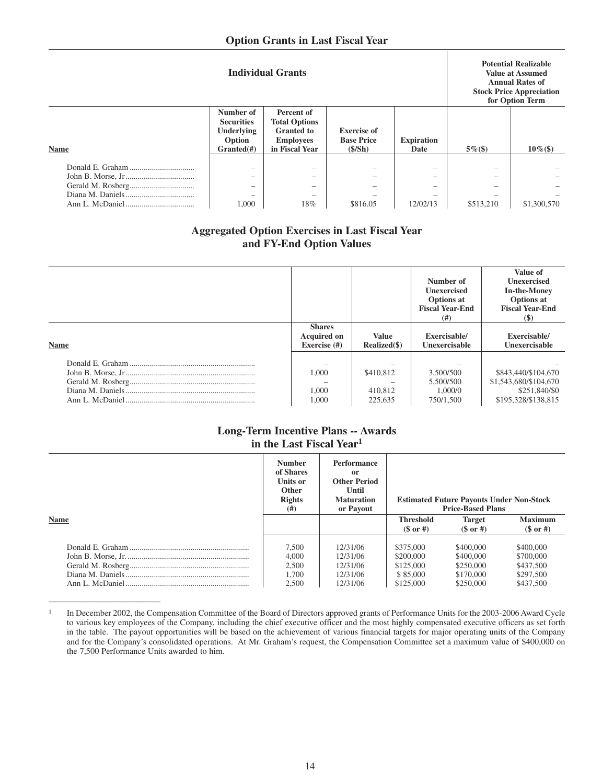|             |                                                                              | <b>Individual Grants</b>                                                                      | <b>Potential Realizable</b><br><b>Value at Assumed</b><br><b>Annual Rates of</b><br><b>Stock Price Appreciation</b><br>for Option Term |                                                                                                   |                                                                                                                           |             |
|-------------|------------------------------------------------------------------------------|-----------------------------------------------------------------------------------------------|----------------------------------------------------------------------------------------------------------------------------------------|---------------------------------------------------------------------------------------------------|---------------------------------------------------------------------------------------------------------------------------|-------------|
| <b>Name</b> | Number of<br><b>Securities</b><br><b>Underlying</b><br>Option<br>$Grand(\#)$ | Percent of<br><b>Total Options</b><br><b>Granted</b> to<br><b>Employees</b><br>in Fiscal Year | <b>Exercise of</b><br><b>Base Price</b><br>(S/Sh)                                                                                      | <b>Expiration</b><br>Date                                                                         | $5\%$ (\$)                                                                                                                | $10\%$ (\$) |
|             | -<br>-<br>1,000                                                              | $\overline{\phantom{a}}$<br>$\overline{\phantom{0}}$<br>18%                                   | \$816.05                                                                                                                               | $\overline{\phantom{a}}$<br>-<br>$\overline{\phantom{a}}$<br>$\overline{\phantom{a}}$<br>12/02/13 | $\overline{\phantom{a}}$<br>$\overline{\phantom{a}}$<br>$\overline{\phantom{a}}$<br>$\overline{\phantom{a}}$<br>\$513,210 | \$1,300,570 |

## **Aggregated Option Exercises in Last Fiscal Year and FY-End Option Values**

|             |                                                     |                                 | Number of<br><b>Unexercised</b><br><b>Options</b> at<br><b>Fiscal Year-End</b><br>(# ) | Value of<br><b>Unexercised</b><br><b>In-the-Money</b><br>Options at<br><b>Fiscal Year-End</b><br><b>(\$)</b> |
|-------------|-----------------------------------------------------|---------------------------------|----------------------------------------------------------------------------------------|--------------------------------------------------------------------------------------------------------------|
| <b>Name</b> | <b>Shares</b><br><b>Acquired on</b><br>Exercise (#) | <b>Value</b><br>Realized(\$)    | Exercisable/<br>Unexercisable                                                          | Exercisable/<br>Unexercisable                                                                                |
|             | 1.000<br>1.000<br>1.000                             | \$410,812<br>410.812<br>225,635 | 3,500/500<br>5,500/500<br>1,000/0<br>750/1.500                                         | \$843,440/\$104,670<br>\$1,543,680/\$104,670<br>\$251,840/\$0<br>\$195,328/\$138,815                         |

## **Long-Term Incentive Plans -- Awards in the Last Fiscal Year1**

|             | <b>Number</b><br>of Shares<br><b>Units or</b><br><b>Other</b><br><b>Rights</b><br>(# ) | <b>Performance</b><br><sub>or</sub><br><b>Other Period</b><br>Until<br><b>Maturation</b><br>or Payout |                                                              | <b>Estimated Future Payouts Under Non-Stock</b><br><b>Price-Based Plans</b> |                                                               |
|-------------|----------------------------------------------------------------------------------------|-------------------------------------------------------------------------------------------------------|--------------------------------------------------------------|-----------------------------------------------------------------------------|---------------------------------------------------------------|
| <b>Name</b> |                                                                                        |                                                                                                       | <b>Threshold</b><br>$(S \text{ or } \#)$                     | <b>Target</b><br>$($or$ #                                                   | <b>Maximum</b><br>$($or$ #                                    |
|             | 7.500<br>4.000<br>2.500<br>1.700<br>2.500                                              | 12/31/06<br>12/31/06<br>12/31/06<br>12/31/06<br>12/31/06                                              | \$375,000<br>\$200,000<br>\$125,000<br>\$85,000<br>\$125,000 | \$400,000<br>\$400,000<br>\$250,000<br>\$170,000<br>\$250,000               | \$400,000<br>\$700,000<br>\$437,500<br>\$297,500<br>\$437,500 |

<sup>1</sup> In December 2002, the Compensation Committee of the Board of Directors approved grants of Performance Units for the 2003-2006 Award Cycle to various key employees of the Company, including the chief executive officer and the most highly compensated executive officers as set forth in the table. The payout opportunities will be based on the achievement of various financial targets for major operating units of the Company and for the Company's consolidated operations. At Mr. Graham's request, the Compensation Committee set a maximum value of \$400,000 on the 7,500 Performance Units awarded to him.

\_\_\_\_\_\_\_\_\_\_\_\_\_\_\_\_\_\_\_\_\_\_\_\_\_\_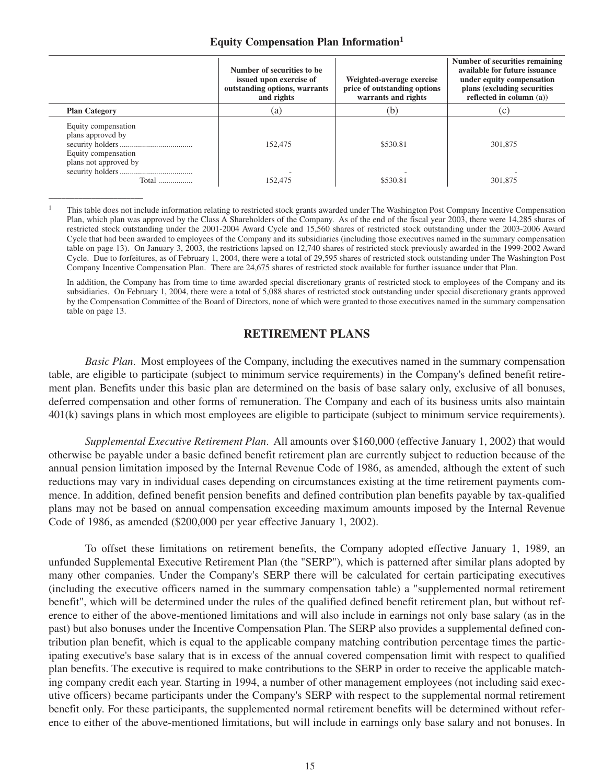#### **Equity Compensation Plan Information1**

|                                                                                          | Number of securities to be.<br>issued upon exercise of<br>outstanding options, warrants<br>and rights | Weighted-average exercise<br>price of outstanding options<br>warrants and rights | Number of securities remaining<br>available for future issuance<br>under equity compensation<br>plans (excluding securities<br>reflected in column $(a)$ ) |
|------------------------------------------------------------------------------------------|-------------------------------------------------------------------------------------------------------|----------------------------------------------------------------------------------|------------------------------------------------------------------------------------------------------------------------------------------------------------|
| <b>Plan Category</b>                                                                     | (a)                                                                                                   | (b)                                                                              | (c)                                                                                                                                                        |
| Equity compensation<br>plans approved by<br>Equity compensation<br>plans not approved by | 152,475                                                                                               | \$530.81                                                                         | 301,875                                                                                                                                                    |
| Total                                                                                    | 152,475                                                                                               | \$530.81                                                                         | 301,875                                                                                                                                                    |

<sup>1</sup> This table does not include information relating to restricted stock grants awarded under The Washington Post Company Incentive Compensation Plan, which plan was approved by the Class A Shareholders of the Company. As of the end of the fiscal year 2003, there were 14,285 shares of restricted stock outstanding under the 2001-2004 Award Cycle and 15,560 shares of restricted stock outstanding under the 2003-2006 Award Cycle that had been awarded to employees of the Company and its subsidiaries (including those executives named in the summary compensation table on page 13). On January 3, 2003, the restrictions lapsed on 12,740 shares of restricted stock previously awarded in the 1999-2002 Award Cycle. Due to forfeitures, as of February 1, 2004, there were a total of 29,595 shares of restricted stock outstanding under The Washington Post Company Incentive Compensation Plan. There are 24,675 shares of restricted stock available for further issuance under that Plan.

\_\_\_\_\_\_\_\_\_\_\_\_\_\_\_\_\_\_\_\_\_\_

In addition, the Company has from time to time awarded special discretionary grants of restricted stock to employees of the Company and its subsidiaries. On February 1, 2004, there were a total of 5,088 shares of restricted stock outstanding under special discretionary grants approved by the Compensation Committee of the Board of Directors, none of which were granted to those executives named in the summary compensation table on page 13.

## **RETIREMENT PLANS**

*Basic Plan*. Most employees of the Company, including the executives named in the summary compensation table, are eligible to participate (subject to minimum service requirements) in the Company's defined benefit retirement plan. Benefits under this basic plan are determined on the basis of base salary only, exclusive of all bonuses, deferred compensation and other forms of remuneration. The Company and each of its business units also maintain 401(k) savings plans in which most employees are eligible to participate (subject to minimum service requirements).

*Supplemental Executive Retirement Plan*. All amounts over \$160,000 (effective January 1, 2002) that would otherwise be payable under a basic defined benefit retirement plan are currently subject to reduction because of the annual pension limitation imposed by the Internal Revenue Code of 1986, as amended, although the extent of such reductions may vary in individual cases depending on circumstances existing at the time retirement payments commence. In addition, defined benefit pension benefits and defined contribution plan benefits payable by tax-qualified plans may not be based on annual compensation exceeding maximum amounts imposed by the Internal Revenue Code of 1986, as amended (\$200,000 per year effective January 1, 2002).

To offset these limitations on retirement benefits, the Company adopted effective January 1, 1989, an unfunded Supplemental Executive Retirement Plan (the "SERP"), which is patterned after similar plans adopted by many other companies. Under the Company's SERP there will be calculated for certain participating executives (including the executive officers named in the summary compensation table) a "supplemented normal retirement benefit", which will be determined under the rules of the qualified defined benefit retirement plan, but without reference to either of the above-mentioned limitations and will also include in earnings not only base salary (as in the past) but also bonuses under the Incentive Compensation Plan. The SERP also provides a supplemental defined contribution plan benefit, which is equal to the applicable company matching contribution percentage times the participating executive's base salary that is in excess of the annual covered compensation limit with respect to qualified plan benefits. The executive is required to make contributions to the SERP in order to receive the applicable matching company credit each year. Starting in 1994, a number of other management employees (not including said executive officers) became participants under the Company's SERP with respect to the supplemental normal retirement benefit only. For these participants, the supplemented normal retirement benefits will be determined without reference to either of the above-mentioned limitations, but will include in earnings only base salary and not bonuses. In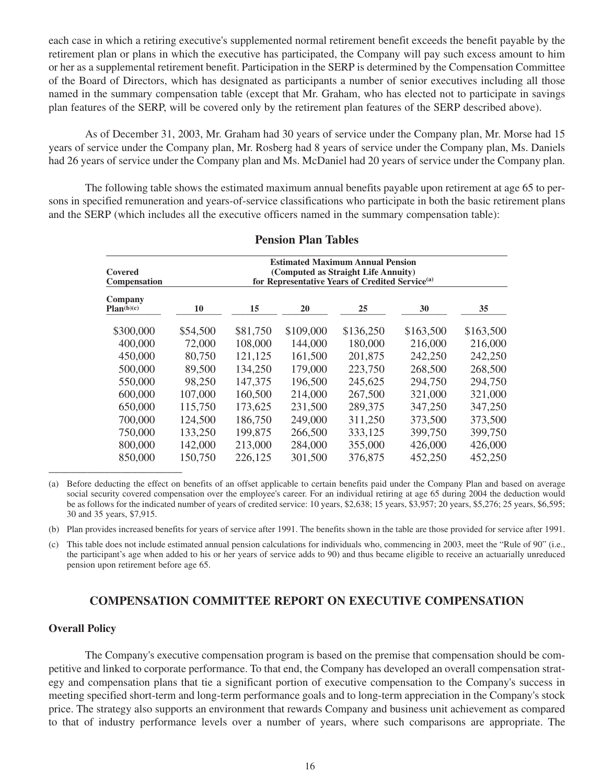each case in which a retiring executive's supplemented normal retirement benefit exceeds the benefit payable by the retirement plan or plans in which the executive has participated, the Company will pay such excess amount to him or her as a supplemental retirement benefit. Participation in the SERP is determined by the Compensation Committee of the Board of Directors, which has designated as participants a number of senior executives including all those named in the summary compensation table (except that Mr. Graham, who has elected not to participate in savings plan features of the SERP, will be covered only by the retirement plan features of the SERP described above).

As of December 31, 2003, Mr. Graham had 30 years of service under the Company plan, Mr. Morse had 15 years of service under the Company plan, Mr. Rosberg had 8 years of service under the Company plan, Ms. Daniels had 26 years of service under the Company plan and Ms. McDaniel had 20 years of service under the Company plan.

The following table shows the estimated maximum annual benefits payable upon retirement at age 65 to persons in specified remuneration and years-of-service classifications who participate in both the basic retirement plans and the SERP (which includes all the executive officers named in the summary compensation table):

| Covered<br>Compensation | <b>Estimated Maximum Annual Pension</b><br>(Computed as Straight Life Annuity)<br>for Representative Years of Credited Service <sup>(a)</sup> |          |           |           |           |           |
|-------------------------|-----------------------------------------------------------------------------------------------------------------------------------------------|----------|-----------|-----------|-----------|-----------|
| Company<br>Plan(b)(c)   | 10                                                                                                                                            | 15       | 20        | 25        | 30        | 35        |
| \$300,000               | \$54,500                                                                                                                                      | \$81,750 | \$109,000 | \$136,250 | \$163,500 | \$163,500 |
| 400,000                 | 72,000                                                                                                                                        | 108,000  | 144,000   | 180,000   | 216,000   | 216,000   |
| 450,000                 | 80,750                                                                                                                                        | 121,125  | 161,500   | 201,875   | 242,250   | 242,250   |
| 500,000                 | 89,500                                                                                                                                        | 134,250  | 179,000   | 223,750   | 268,500   | 268,500   |
| 550,000                 | 98,250                                                                                                                                        | 147,375  | 196,500   | 245,625   | 294,750   | 294,750   |
| 600,000                 | 107,000                                                                                                                                       | 160,500  | 214,000   | 267,500   | 321,000   | 321,000   |
| 650,000                 | 115,750                                                                                                                                       | 173,625  | 231,500   | 289,375   | 347,250   | 347,250   |
| 700,000                 | 124,500                                                                                                                                       | 186,750  | 249,000   | 311,250   | 373,500   | 373,500   |
| 750,000                 | 133,250                                                                                                                                       | 199,875  | 266,500   | 333,125   | 399,750   | 399,750   |
| 800,000                 | 142,000                                                                                                                                       | 213,000  | 284,000   | 355,000   | 426,000   | 426,000   |
| 850,000                 | 150,750                                                                                                                                       | 226,125  | 301,500   | 376,875   | 452,250   | 452,250   |

### **Pension Plan Tables**

(a) Before deducting the effect on benefits of an offset applicable to certain benefits paid under the Company Plan and based on average social security covered compensation over the employee's career. For an individual retiring at age 65 during 2004 the deduction would be as follows for the indicated number of years of credited service: 10 years, \$2,638; 15 years, \$3,957; 20 years, \$5,276; 25 years, \$6,595; 30 and 35 years, \$7,915.

(b) Plan provides increased benefits for years of service after 1991. The benefits shown in the table are those provided for service after 1991.

(c) This table does not include estimated annual pension calculations for individuals who, commencing in 2003, meet the "Rule of 90" (i.e., the participant's age when added to his or her years of service adds to 90) and thus became eligible to receive an actuarially unreduced pension upon retirement before age 65.

## **COMPENSATION COMMITTEE REPORT ON EXECUTIVE COMPENSATION**

#### **Overall Policy**

The Company's executive compensation program is based on the premise that compensation should be competitive and linked to corporate performance. To that end, the Company has developed an overall compensation strategy and compensation plans that tie a significant portion of executive compensation to the Company's success in meeting specified short-term and long-term performance goals and to long-term appreciation in the Company's stock price. The strategy also supports an environment that rewards Company and business unit achievement as compared to that of industry performance levels over a number of years, where such comparisons are appropriate. The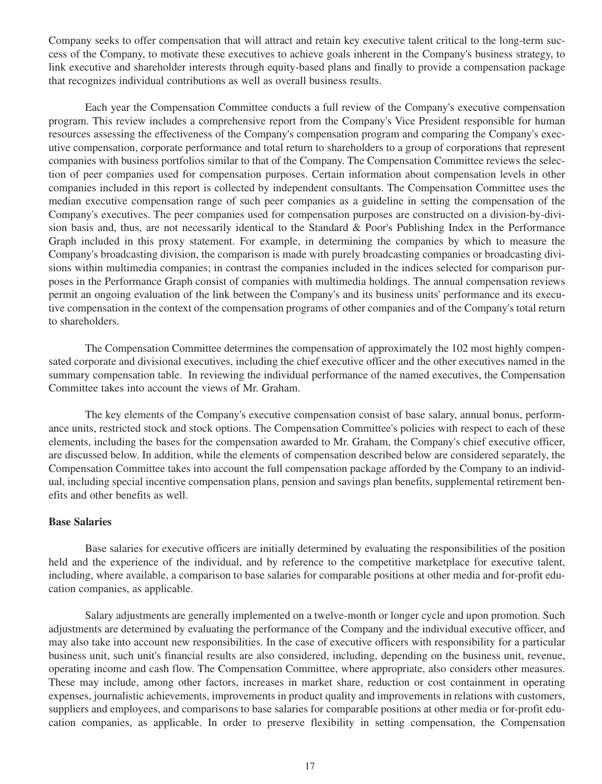Company seeks to offer compensation that will attract and retain key executive talent critical to the long-term success of the Company, to motivate these executives to achieve goals inherent in the Company's business strategy, to link executive and shareholder interests through equity-based plans and finally to provide a compensation package that recognizes individual contributions as well as overall business results.

Each year the Compensation Committee conducts a full review of the Company's executive compensation program. This review includes a comprehensive report from the Company's Vice President responsible for human resources assessing the effectiveness of the Company's compensation program and comparing the Company's executive compensation, corporate performance and total return to shareholders to a group of corporations that represent companies with business portfolios similar to that of the Company. The Compensation Committee reviews the selection of peer companies used for compensation purposes. Certain information about compensation levels in other companies included in this report is collected by independent consultants. The Compensation Committee uses the median executive compensation range of such peer companies as a guideline in setting the compensation of the Company's executives. The peer companies used for compensation purposes are constructed on a division-by-division basis and, thus, are not necessarily identical to the Standard & Poor's Publishing Index in the Performance Graph included in this proxy statement. For example, in determining the companies by which to measure the Company's broadcasting division, the comparison is made with purely broadcasting companies or broadcasting divisions within multimedia companies; in contrast the companies included in the indices selected for comparison purposes in the Performance Graph consist of companies with multimedia holdings. The annual compensation reviews permit an ongoing evaluation of the link between the Company's and its business units' performance and its executive compensation in the context of the compensation programs of other companies and of the Company's total return to shareholders.

The Compensation Committee determines the compensation of approximately the 102 most highly compensated corporate and divisional executives, including the chief executive officer and the other executives named in the summary compensation table. In reviewing the individual performance of the named executives, the Compensation Committee takes into account the views of Mr. Graham.

The key elements of the Company's executive compensation consist of base salary, annual bonus, performance units, restricted stock and stock options. The Compensation Committee's policies with respect to each of these elements, including the bases for the compensation awarded to Mr. Graham, the Company's chief executive officer, are discussed below. In addition, while the elements of compensation described below are considered separately, the Compensation Committee takes into account the full compensation package afforded by the Company to an individual, including special incentive compensation plans, pension and savings plan benefits, supplemental retirement benefits and other benefits as well.

#### **Base Salaries**

Base salaries for executive officers are initially determined by evaluating the responsibilities of the position held and the experience of the individual, and by reference to the competitive marketplace for executive talent, including, where available, a comparison to base salaries for comparable positions at other media and for-profit education companies, as applicable.

Salary adjustments are generally implemented on a twelve-month or longer cycle and upon promotion. Such adjustments are determined by evaluating the performance of the Company and the individual executive officer, and may also take into account new responsibilities. In the case of executive officers with responsibility for a particular business unit, such unit's financial results are also considered, including, depending on the business unit, revenue, operating income and cash flow. The Compensation Committee, where appropriate, also considers other measures. These may include, among other factors, increases in market share, reduction or cost containment in operating expenses, journalistic achievements, improvements in product quality and improvements in relations with customers, suppliers and employees, and comparisons to base salaries for comparable positions at other media or for-profit education companies, as applicable. In order to preserve flexibility in setting compensation, the Compensation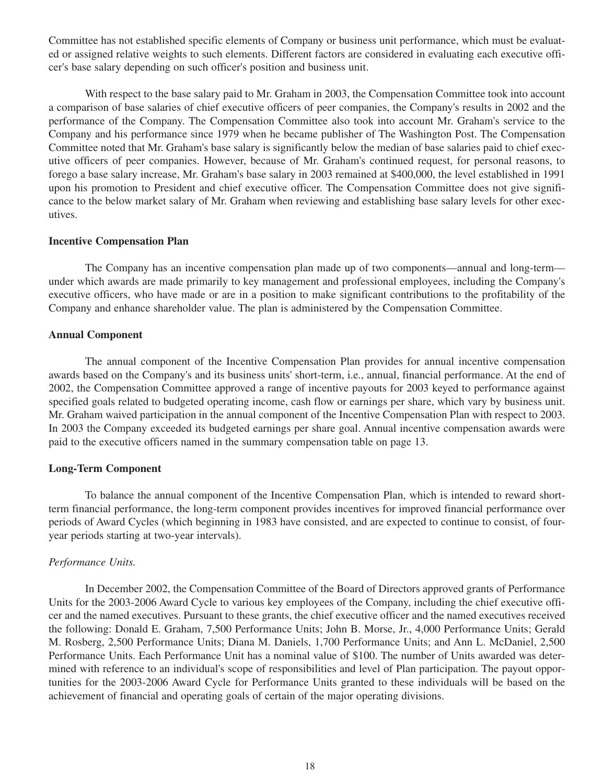Committee has not established specific elements of Company or business unit performance, which must be evaluated or assigned relative weights to such elements. Different factors are considered in evaluating each executive officer's base salary depending on such officer's position and business unit.

With respect to the base salary paid to Mr. Graham in 2003, the Compensation Committee took into account a comparison of base salaries of chief executive officers of peer companies, the Company's results in 2002 and the performance of the Company. The Compensation Committee also took into account Mr. Graham's service to the Company and his performance since 1979 when he became publisher of The Washington Post. The Compensation Committee noted that Mr. Graham's base salary is significantly below the median of base salaries paid to chief executive officers of peer companies. However, because of Mr. Graham's continued request, for personal reasons, to forego a base salary increase, Mr. Graham's base salary in 2003 remained at \$400,000, the level established in 1991 upon his promotion to President and chief executive officer. The Compensation Committee does not give significance to the below market salary of Mr. Graham when reviewing and establishing base salary levels for other executives.

#### **Incentive Compensation Plan**

The Company has an incentive compensation plan made up of two components—annual and long-term under which awards are made primarily to key management and professional employees, including the Company's executive officers, who have made or are in a position to make significant contributions to the profitability of the Company and enhance shareholder value. The plan is administered by the Compensation Committee.

### **Annual Component**

The annual component of the Incentive Compensation Plan provides for annual incentive compensation awards based on the Company's and its business units' short-term, i.e., annual, financial performance. At the end of 2002, the Compensation Committee approved a range of incentive payouts for 2003 keyed to performance against specified goals related to budgeted operating income, cash flow or earnings per share, which vary by business unit. Mr. Graham waived participation in the annual component of the Incentive Compensation Plan with respect to 2003. In 2003 the Company exceeded its budgeted earnings per share goal. Annual incentive compensation awards were paid to the executive officers named in the summary compensation table on page 13.

## **Long-Term Component**

To balance the annual component of the Incentive Compensation Plan, which is intended to reward shortterm financial performance, the long-term component provides incentives for improved financial performance over periods of Award Cycles (which beginning in 1983 have consisted, and are expected to continue to consist, of fouryear periods starting at two-year intervals).

## *Performance Units.*

In December 2002, the Compensation Committee of the Board of Directors approved grants of Performance Units for the 2003-2006 Award Cycle to various key employees of the Company, including the chief executive officer and the named executives. Pursuant to these grants, the chief executive officer and the named executives received the following: Donald E. Graham, 7,500 Performance Units; John B. Morse, Jr., 4,000 Performance Units; Gerald M. Rosberg, 2,500 Performance Units; Diana M. Daniels, 1,700 Performance Units; and Ann L. McDaniel, 2,500 Performance Units. Each Performance Unit has a nominal value of \$100. The number of Units awarded was determined with reference to an individual's scope of responsibilities and level of Plan participation. The payout opportunities for the 2003-2006 Award Cycle for Performance Units granted to these individuals will be based on the achievement of financial and operating goals of certain of the major operating divisions.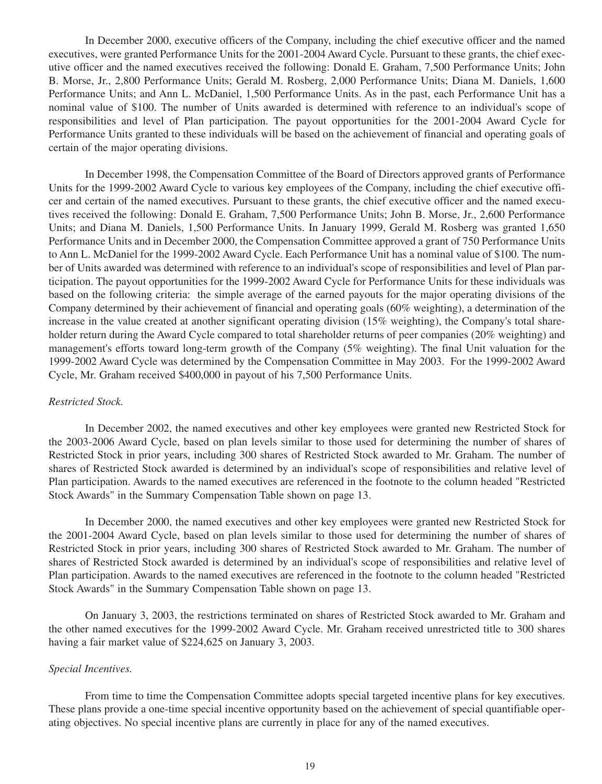In December 2000, executive officers of the Company, including the chief executive officer and the named executives, were granted Performance Units for the 2001-2004 Award Cycle. Pursuant to these grants, the chief executive officer and the named executives received the following: Donald E. Graham, 7,500 Performance Units; John B. Morse, Jr., 2,800 Performance Units; Gerald M. Rosberg, 2,000 Performance Units; Diana M. Daniels, 1,600 Performance Units; and Ann L. McDaniel, 1,500 Performance Units. As in the past, each Performance Unit has a nominal value of \$100. The number of Units awarded is determined with reference to an individual's scope of responsibilities and level of Plan participation. The payout opportunities for the 2001-2004 Award Cycle for Performance Units granted to these individuals will be based on the achievement of financial and operating goals of certain of the major operating divisions.

In December 1998, the Compensation Committee of the Board of Directors approved grants of Performance Units for the 1999-2002 Award Cycle to various key employees of the Company, including the chief executive officer and certain of the named executives. Pursuant to these grants, the chief executive officer and the named executives received the following: Donald E. Graham, 7,500 Performance Units; John B. Morse, Jr., 2,600 Performance Units; and Diana M. Daniels, 1,500 Performance Units. In January 1999, Gerald M. Rosberg was granted 1,650 Performance Units and in December 2000, the Compensation Committee approved a grant of 750 Performance Units to Ann L. McDaniel for the 1999-2002 Award Cycle. Each Performance Unit has a nominal value of \$100. The number of Units awarded was determined with reference to an individual's scope of responsibilities and level of Plan participation. The payout opportunities for the 1999-2002 Award Cycle for Performance Units for these individuals was based on the following criteria: the simple average of the earned payouts for the major operating divisions of the Company determined by their achievement of financial and operating goals (60% weighting), a determination of the increase in the value created at another significant operating division (15% weighting), the Company's total shareholder return during the Award Cycle compared to total shareholder returns of peer companies (20% weighting) and management's efforts toward long-term growth of the Company (5% weighting). The final Unit valuation for the 1999-2002 Award Cycle was determined by the Compensation Committee in May 2003. For the 1999-2002 Award Cycle, Mr. Graham received \$400,000 in payout of his 7,500 Performance Units.

### *Restricted Stock.*

In December 2002, the named executives and other key employees were granted new Restricted Stock for the 2003-2006 Award Cycle, based on plan levels similar to those used for determining the number of shares of Restricted Stock in prior years, including 300 shares of Restricted Stock awarded to Mr. Graham. The number of shares of Restricted Stock awarded is determined by an individual's scope of responsibilities and relative level of Plan participation. Awards to the named executives are referenced in the footnote to the column headed "Restricted Stock Awards" in the Summary Compensation Table shown on page 13.

In December 2000, the named executives and other key employees were granted new Restricted Stock for the 2001-2004 Award Cycle, based on plan levels similar to those used for determining the number of shares of Restricted Stock in prior years, including 300 shares of Restricted Stock awarded to Mr. Graham. The number of shares of Restricted Stock awarded is determined by an individual's scope of responsibilities and relative level of Plan participation. Awards to the named executives are referenced in the footnote to the column headed "Restricted Stock Awards" in the Summary Compensation Table shown on page 13.

On January 3, 2003, the restrictions terminated on shares of Restricted Stock awarded to Mr. Graham and the other named executives for the 1999-2002 Award Cycle. Mr. Graham received unrestricted title to 300 shares having a fair market value of \$224,625 on January 3, 2003.

### *Special Incentives.*

From time to time the Compensation Committee adopts special targeted incentive plans for key executives. These plans provide a one-time special incentive opportunity based on the achievement of special quantifiable operating objectives. No special incentive plans are currently in place for any of the named executives.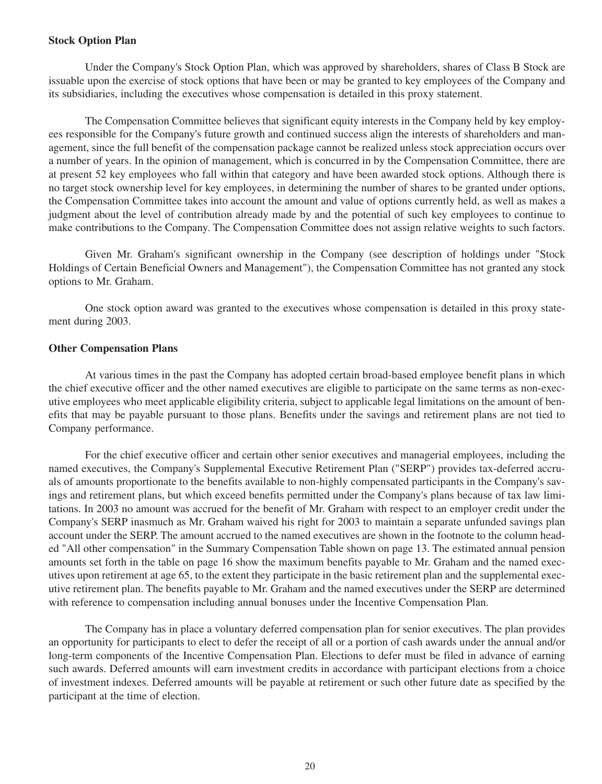#### **Stock Option Plan**

Under the Company's Stock Option Plan, which was approved by shareholders, shares of Class B Stock are issuable upon the exercise of stock options that have been or may be granted to key employees of the Company and its subsidiaries, including the executives whose compensation is detailed in this proxy statement.

The Compensation Committee believes that significant equity interests in the Company held by key employees responsible for the Company's future growth and continued success align the interests of shareholders and management, since the full benefit of the compensation package cannot be realized unless stock appreciation occurs over a number of years. In the opinion of management, which is concurred in by the Compensation Committee, there are at present 52 key employees who fall within that category and have been awarded stock options. Although there is no target stock ownership level for key employees, in determining the number of shares to be granted under options, the Compensation Committee takes into account the amount and value of options currently held, as well as makes a judgment about the level of contribution already made by and the potential of such key employees to continue to make contributions to the Company. The Compensation Committee does not assign relative weights to such factors.

Given Mr. Graham's significant ownership in the Company (see description of holdings under "Stock Holdings of Certain Beneficial Owners and Management"), the Compensation Committee has not granted any stock options to Mr. Graham.

One stock option award was granted to the executives whose compensation is detailed in this proxy statement during 2003.

#### **Other Compensation Plans**

At various times in the past the Company has adopted certain broad-based employee benefit plans in which the chief executive officer and the other named executives are eligible to participate on the same terms as non-executive employees who meet applicable eligibility criteria, subject to applicable legal limitations on the amount of benefits that may be payable pursuant to those plans. Benefits under the savings and retirement plans are not tied to Company performance.

For the chief executive officer and certain other senior executives and managerial employees, including the named executives, the Company's Supplemental Executive Retirement Plan ("SERP") provides tax-deferred accruals of amounts proportionate to the benefits available to non-highly compensated participants in the Company's savings and retirement plans, but which exceed benefits permitted under the Company's plans because of tax law limitations. In 2003 no amount was accrued for the benefit of Mr. Graham with respect to an employer credit under the Company's SERP inasmuch as Mr. Graham waived his right for 2003 to maintain a separate unfunded savings plan account under the SERP. The amount accrued to the named executives are shown in the footnote to the column headed "All other compensation" in the Summary Compensation Table shown on page 13. The estimated annual pension amounts set forth in the table on page 16 show the maximum benefits payable to Mr. Graham and the named executives upon retirement at age 65, to the extent they participate in the basic retirement plan and the supplemental executive retirement plan. The benefits payable to Mr. Graham and the named executives under the SERP are determined with reference to compensation including annual bonuses under the Incentive Compensation Plan.

The Company has in place a voluntary deferred compensation plan for senior executives. The plan provides an opportunity for participants to elect to defer the receipt of all or a portion of cash awards under the annual and/or long-term components of the Incentive Compensation Plan. Elections to defer must be filed in advance of earning such awards. Deferred amounts will earn investment credits in accordance with participant elections from a choice of investment indexes. Deferred amounts will be payable at retirement or such other future date as specified by the participant at the time of election.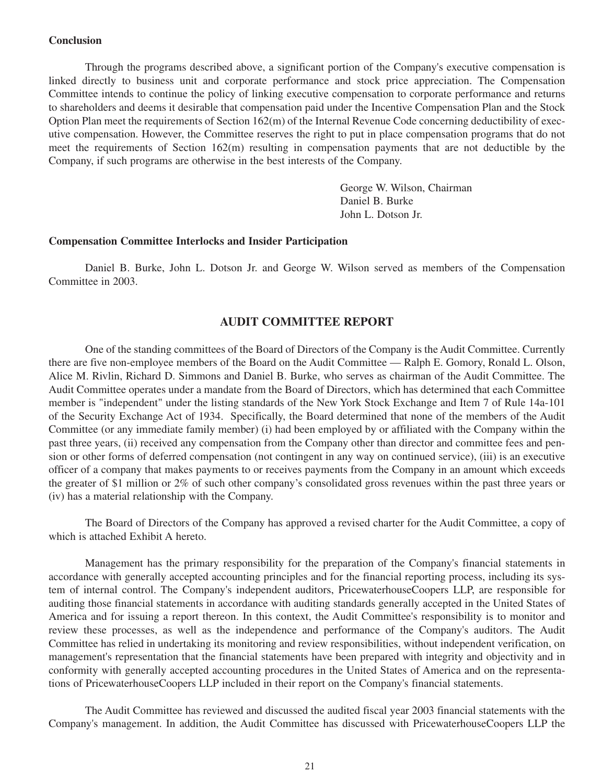### **Conclusion**

Through the programs described above, a significant portion of the Company's executive compensation is linked directly to business unit and corporate performance and stock price appreciation. The Compensation Committee intends to continue the policy of linking executive compensation to corporate performance and returns to shareholders and deems it desirable that compensation paid under the Incentive Compensation Plan and the Stock Option Plan meet the requirements of Section 162(m) of the Internal Revenue Code concerning deductibility of executive compensation. However, the Committee reserves the right to put in place compensation programs that do not meet the requirements of Section 162(m) resulting in compensation payments that are not deductible by the Company, if such programs are otherwise in the best interests of the Company.

> George W. Wilson, Chairman Daniel B. Burke John L. Dotson Jr.

### **Compensation Committee Interlocks and Insider Participation**

Daniel B. Burke, John L. Dotson Jr. and George W. Wilson served as members of the Compensation Committee in 2003.

### **AUDIT COMMITTEE REPORT**

One of the standing committees of the Board of Directors of the Company is the Audit Committee. Currently there are five non-employee members of the Board on the Audit Committee — Ralph E. Gomory, Ronald L. Olson, Alice M. Rivlin, Richard D. Simmons and Daniel B. Burke, who serves as chairman of the Audit Committee. The Audit Committee operates under a mandate from the Board of Directors, which has determined that each Committee member is "independent" under the listing standards of the New York Stock Exchange and Item 7 of Rule 14a-101 of the Security Exchange Act of 1934. Specifically, the Board determined that none of the members of the Audit Committee (or any immediate family member) (i) had been employed by or affiliated with the Company within the past three years, (ii) received any compensation from the Company other than director and committee fees and pension or other forms of deferred compensation (not contingent in any way on continued service), (iii) is an executive officer of a company that makes payments to or receives payments from the Company in an amount which exceeds the greater of \$1 million or 2% of such other company's consolidated gross revenues within the past three years or (iv) has a material relationship with the Company.

The Board of Directors of the Company has approved a revised charter for the Audit Committee, a copy of which is attached Exhibit A hereto.

Management has the primary responsibility for the preparation of the Company's financial statements in accordance with generally accepted accounting principles and for the financial reporting process, including its system of internal control. The Company's independent auditors, PricewaterhouseCoopers LLP, are responsible for auditing those financial statements in accordance with auditing standards generally accepted in the United States of America and for issuing a report thereon. In this context, the Audit Committee's responsibility is to monitor and review these processes, as well as the independence and performance of the Company's auditors. The Audit Committee has relied in undertaking its monitoring and review responsibilities, without independent verification, on management's representation that the financial statements have been prepared with integrity and objectivity and in conformity with generally accepted accounting procedures in the United States of America and on the representations of PricewaterhouseCoopers LLP included in their report on the Company's financial statements.

The Audit Committee has reviewed and discussed the audited fiscal year 2003 financial statements with the Company's management. In addition, the Audit Committee has discussed with PricewaterhouseCoopers LLP the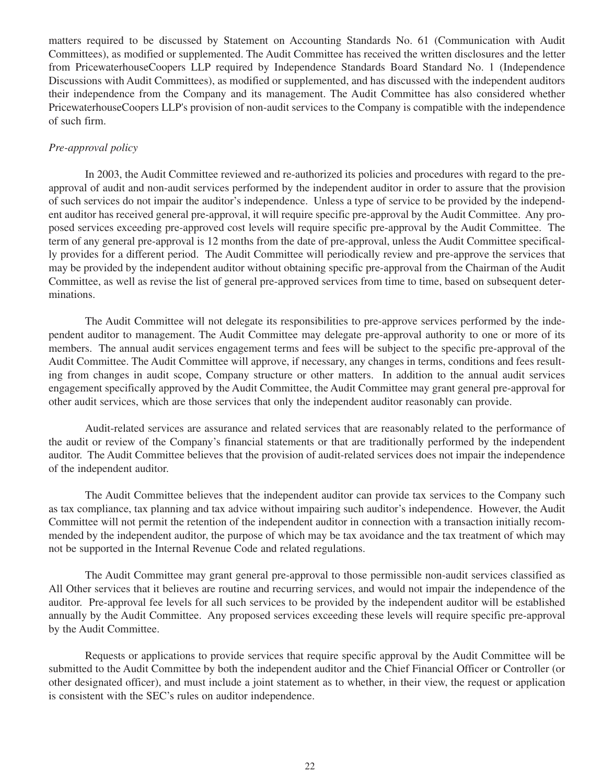matters required to be discussed by Statement on Accounting Standards No. 61 (Communication with Audit Committees), as modified or supplemented. The Audit Committee has received the written disclosures and the letter from PricewaterhouseCoopers LLP required by Independence Standards Board Standard No. 1 (Independence Discussions with Audit Committees), as modified or supplemented, and has discussed with the independent auditors their independence from the Company and its management. The Audit Committee has also considered whether PricewaterhouseCoopers LLP's provision of non-audit services to the Company is compatible with the independence of such firm.

## *Pre-approval policy*

In 2003, the Audit Committee reviewed and re-authorized its policies and procedures with regard to the preapproval of audit and non-audit services performed by the independent auditor in order to assure that the provision of such services do not impair the auditor's independence. Unless a type of service to be provided by the independent auditor has received general pre-approval, it will require specific pre-approval by the Audit Committee. Any proposed services exceeding pre-approved cost levels will require specific pre-approval by the Audit Committee. The term of any general pre-approval is 12 months from the date of pre-approval, unless the Audit Committee specifically provides for a different period. The Audit Committee will periodically review and pre-approve the services that may be provided by the independent auditor without obtaining specific pre-approval from the Chairman of the Audit Committee, as well as revise the list of general pre-approved services from time to time, based on subsequent determinations.

The Audit Committee will not delegate its responsibilities to pre-approve services performed by the independent auditor to management. The Audit Committee may delegate pre-approval authority to one or more of its members. The annual audit services engagement terms and fees will be subject to the specific pre-approval of the Audit Committee. The Audit Committee will approve, if necessary, any changes in terms, conditions and fees resulting from changes in audit scope, Company structure or other matters. In addition to the annual audit services engagement specifically approved by the Audit Committee, the Audit Committee may grant general pre-approval for other audit services, which are those services that only the independent auditor reasonably can provide.

Audit-related services are assurance and related services that are reasonably related to the performance of the audit or review of the Company's financial statements or that are traditionally performed by the independent auditor. The Audit Committee believes that the provision of audit-related services does not impair the independence of the independent auditor.

The Audit Committee believes that the independent auditor can provide tax services to the Company such as tax compliance, tax planning and tax advice without impairing such auditor's independence. However, the Audit Committee will not permit the retention of the independent auditor in connection with a transaction initially recommended by the independent auditor, the purpose of which may be tax avoidance and the tax treatment of which may not be supported in the Internal Revenue Code and related regulations.

The Audit Committee may grant general pre-approval to those permissible non-audit services classified as All Other services that it believes are routine and recurring services, and would not impair the independence of the auditor. Pre-approval fee levels for all such services to be provided by the independent auditor will be established annually by the Audit Committee. Any proposed services exceeding these levels will require specific pre-approval by the Audit Committee.

Requests or applications to provide services that require specific approval by the Audit Committee will be submitted to the Audit Committee by both the independent auditor and the Chief Financial Officer or Controller (or other designated officer), and must include a joint statement as to whether, in their view, the request or application is consistent with the SEC's rules on auditor independence.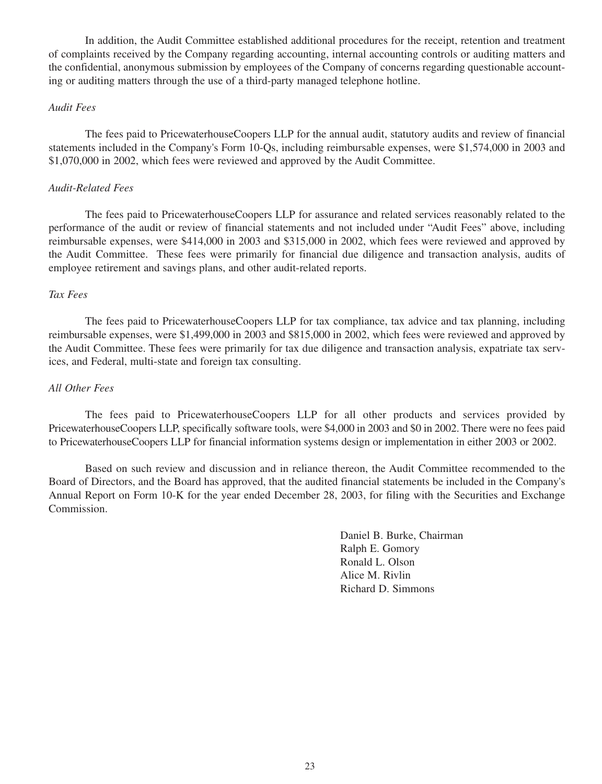In addition, the Audit Committee established additional procedures for the receipt, retention and treatment of complaints received by the Company regarding accounting, internal accounting controls or auditing matters and the confidential, anonymous submission by employees of the Company of concerns regarding questionable accounting or auditing matters through the use of a third-party managed telephone hotline.

### *Audit Fees*

The fees paid to PricewaterhouseCoopers LLP for the annual audit, statutory audits and review of financial statements included in the Company's Form 10-Qs, including reimbursable expenses, were \$1,574,000 in 2003 and \$1,070,000 in 2002, which fees were reviewed and approved by the Audit Committee.

#### *Audit-Related Fees*

The fees paid to PricewaterhouseCoopers LLP for assurance and related services reasonably related to the performance of the audit or review of financial statements and not included under "Audit Fees" above, including reimbursable expenses, were \$414,000 in 2003 and \$315,000 in 2002, which fees were reviewed and approved by the Audit Committee. These fees were primarily for financial due diligence and transaction analysis, audits of employee retirement and savings plans, and other audit-related reports.

### *Tax Fees*

The fees paid to PricewaterhouseCoopers LLP for tax compliance, tax advice and tax planning, including reimbursable expenses, were \$1,499,000 in 2003 and \$815,000 in 2002, which fees were reviewed and approved by the Audit Committee. These fees were primarily for tax due diligence and transaction analysis, expatriate tax services, and Federal, multi-state and foreign tax consulting.

## *All Other Fees*

The fees paid to PricewaterhouseCoopers LLP for all other products and services provided by PricewaterhouseCoopers LLP, specifically software tools, were \$4,000 in 2003 and \$0 in 2002. There were no fees paid to PricewaterhouseCoopers LLP for financial information systems design or implementation in either 2003 or 2002.

Based on such review and discussion and in reliance thereon, the Audit Committee recommended to the Board of Directors, and the Board has approved, that the audited financial statements be included in the Company's Annual Report on Form 10-K for the year ended December 28, 2003, for filing with the Securities and Exchange Commission.

> Daniel B. Burke, Chairman Ralph E. Gomory Ronald L. Olson Alice M. Rivlin Richard D. Simmons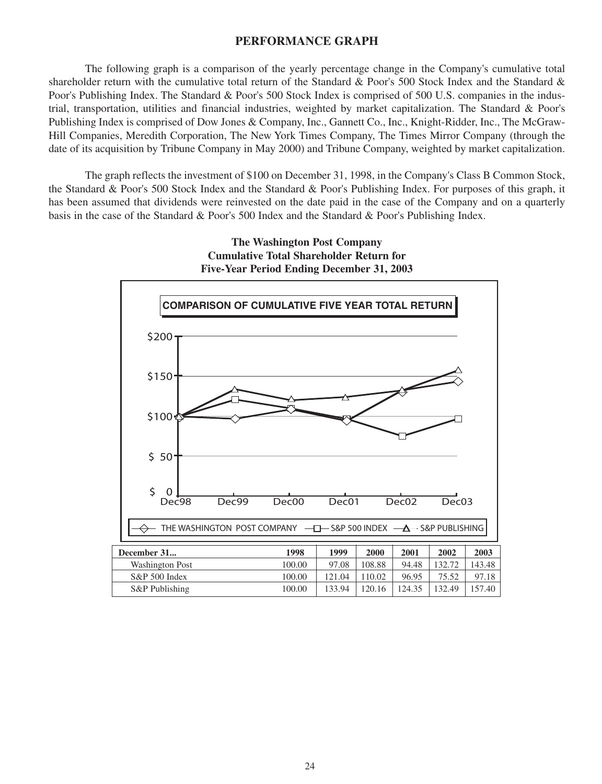## **PERFORMANCE GRAPH**

The following graph is a comparison of the yearly percentage change in the Company's cumulative total shareholder return with the cumulative total return of the Standard & Poor's 500 Stock Index and the Standard & Poor's Publishing Index. The Standard & Poor's 500 Stock Index is comprised of 500 U.S. companies in the industrial, transportation, utilities and financial industries, weighted by market capitalization. The Standard & Poor's Publishing Index is comprised of Dow Jones & Company, Inc., Gannett Co., Inc., Knight-Ridder, Inc., The McGraw-Hill Companies, Meredith Corporation, The New York Times Company, The Times Mirror Company (through the date of its acquisition by Tribune Company in May 2000) and Tribune Company, weighted by market capitalization.

The graph reflects the investment of \$100 on December 31, 1998, in the Company's Class B Common Stock, the Standard & Poor's 500 Stock Index and the Standard & Poor's Publishing Index. For purposes of this graph, it has been assumed that dividends were reinvested on the date paid in the case of the Company and on a quarterly basis in the case of the Standard & Poor's 500 Index and the Standard & Poor's Publishing Index.

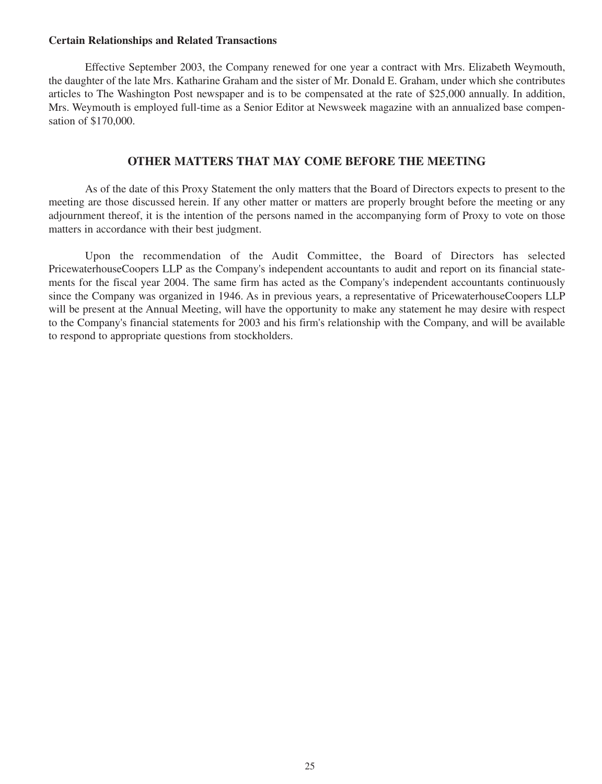### **Certain Relationships and Related Transactions**

Effective September 2003, the Company renewed for one year a contract with Mrs. Elizabeth Weymouth, the daughter of the late Mrs. Katharine Graham and the sister of Mr. Donald E. Graham, under which she contributes articles to The Washington Post newspaper and is to be compensated at the rate of \$25,000 annually. In addition, Mrs. Weymouth is employed full-time as a Senior Editor at Newsweek magazine with an annualized base compensation of \$170,000.

## **OTHER MATTERS THAT MAY COME BEFORE THE MEETING**

As of the date of this Proxy Statement the only matters that the Board of Directors expects to present to the meeting are those discussed herein. If any other matter or matters are properly brought before the meeting or any adjournment thereof, it is the intention of the persons named in the accompanying form of Proxy to vote on those matters in accordance with their best judgment.

Upon the recommendation of the Audit Committee, the Board of Directors has selected PricewaterhouseCoopers LLP as the Company's independent accountants to audit and report on its financial statements for the fiscal year 2004. The same firm has acted as the Company's independent accountants continuously since the Company was organized in 1946. As in previous years, a representative of PricewaterhouseCoopers LLP will be present at the Annual Meeting, will have the opportunity to make any statement he may desire with respect to the Company's financial statements for 2003 and his firm's relationship with the Company, and will be available to respond to appropriate questions from stockholders.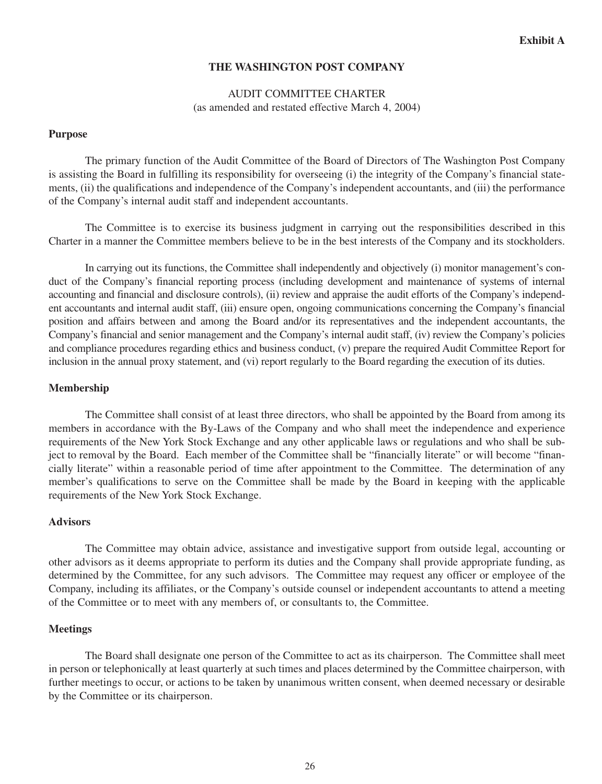## **THE WASHINGTON POST COMPANY**

## AUDIT COMMITTEE CHARTER (as amended and restated effective March 4, 2004)

### **Purpose**

The primary function of the Audit Committee of the Board of Directors of The Washington Post Company is assisting the Board in fulfilling its responsibility for overseeing (i) the integrity of the Company's financial statements, (ii) the qualifications and independence of the Company's independent accountants, and (iii) the performance of the Company's internal audit staff and independent accountants.

The Committee is to exercise its business judgment in carrying out the responsibilities described in this Charter in a manner the Committee members believe to be in the best interests of the Company and its stockholders.

In carrying out its functions, the Committee shall independently and objectively (i) monitor management's conduct of the Company's financial reporting process (including development and maintenance of systems of internal accounting and financial and disclosure controls), (ii) review and appraise the audit efforts of the Company's independent accountants and internal audit staff, (iii) ensure open, ongoing communications concerning the Company's financial position and affairs between and among the Board and/or its representatives and the independent accountants, the Company's financial and senior management and the Company's internal audit staff, (iv) review the Company's policies and compliance procedures regarding ethics and business conduct, (v) prepare the required Audit Committee Report for inclusion in the annual proxy statement, and (vi) report regularly to the Board regarding the execution of its duties.

### **Membership**

The Committee shall consist of at least three directors, who shall be appointed by the Board from among its members in accordance with the By-Laws of the Company and who shall meet the independence and experience requirements of the New York Stock Exchange and any other applicable laws or regulations and who shall be subject to removal by the Board. Each member of the Committee shall be "financially literate" or will become "financially literate" within a reasonable period of time after appointment to the Committee. The determination of any member's qualifications to serve on the Committee shall be made by the Board in keeping with the applicable requirements of the New York Stock Exchange.

### **Advisors**

The Committee may obtain advice, assistance and investigative support from outside legal, accounting or other advisors as it deems appropriate to perform its duties and the Company shall provide appropriate funding, as determined by the Committee, for any such advisors. The Committee may request any officer or employee of the Company, including its affiliates, or the Company's outside counsel or independent accountants to attend a meeting of the Committee or to meet with any members of, or consultants to, the Committee.

## **Meetings**

The Board shall designate one person of the Committee to act as its chairperson. The Committee shall meet in person or telephonically at least quarterly at such times and places determined by the Committee chairperson, with further meetings to occur, or actions to be taken by unanimous written consent, when deemed necessary or desirable by the Committee or its chairperson.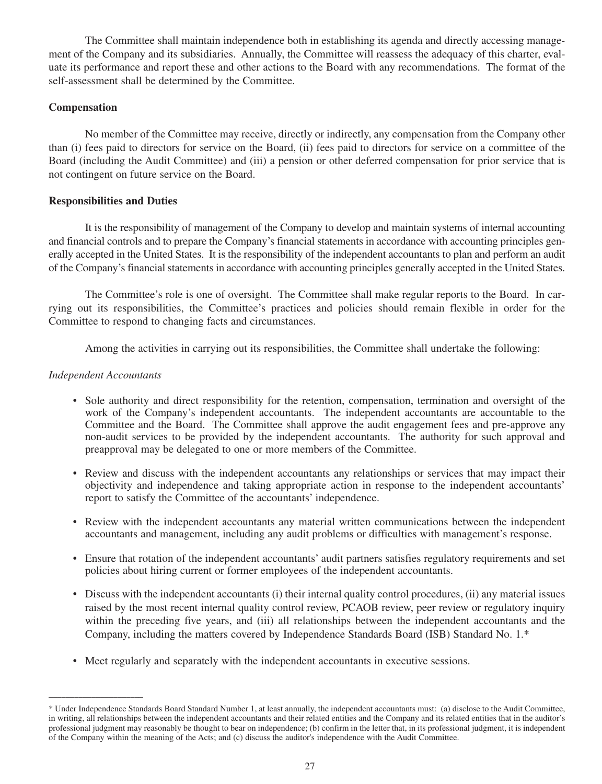The Committee shall maintain independence both in establishing its agenda and directly accessing management of the Company and its subsidiaries. Annually, the Committee will reassess the adequacy of this charter, evaluate its performance and report these and other actions to the Board with any recommendations. The format of the self-assessment shall be determined by the Committee.

## **Compensation**

No member of the Committee may receive, directly or indirectly, any compensation from the Company other than (i) fees paid to directors for service on the Board, (ii) fees paid to directors for service on a committee of the Board (including the Audit Committee) and (iii) a pension or other deferred compensation for prior service that is not contingent on future service on the Board.

## **Responsibilities and Duties**

It is the responsibility of management of the Company to develop and maintain systems of internal accounting and financial controls and to prepare the Company's financial statements in accordance with accounting principles generally accepted in the United States. It is the responsibility of the independent accountants to plan and perform an audit of the Company's financial statements in accordance with accounting principles generally accepted in the United States.

The Committee's role is one of oversight. The Committee shall make regular reports to the Board. In carrying out its responsibilities, the Committee's practices and policies should remain flexible in order for the Committee to respond to changing facts and circumstances.

Among the activities in carrying out its responsibilities, the Committee shall undertake the following:

## *Independent Accountants*

\_\_\_\_\_\_\_\_\_\_\_\_\_\_\_\_\_\_\_\_\_\_

- Sole authority and direct responsibility for the retention, compensation, termination and oversight of the work of the Company's independent accountants. The independent accountants are accountable to the Committee and the Board. The Committee shall approve the audit engagement fees and pre-approve any non-audit services to be provided by the independent accountants. The authority for such approval and preapproval may be delegated to one or more members of the Committee.
- Review and discuss with the independent accountants any relationships or services that may impact their objectivity and independence and taking appropriate action in response to the independent accountants' report to satisfy the Committee of the accountants' independence.
- Review with the independent accountants any material written communications between the independent accountants and management, including any audit problems or difficulties with management's response.
- Ensure that rotation of the independent accountants' audit partners satisfies regulatory requirements and set policies about hiring current or former employees of the independent accountants.
- Discuss with the independent accountants (i) their internal quality control procedures, (ii) any material issues raised by the most recent internal quality control review, PCAOB review, peer review or regulatory inquiry within the preceding five years, and (iii) all relationships between the independent accountants and the Company, including the matters covered by Independence Standards Board (ISB) Standard No. 1.\*
- Meet regularly and separately with the independent accountants in executive sessions.

<sup>\*</sup> Under Independence Standards Board Standard Number 1, at least annually, the independent accountants must: (a) disclose to the Audit Committee, in writing, all relationships between the independent accountants and their related entities and the Company and its related entities that in the auditor's professional judgment may reasonably be thought to bear on independence; (b) confirm in the letter that, in its professional judgment, it is independent of the Company within the meaning of the Acts; and (c) discuss the auditor's independence with the Audit Committee.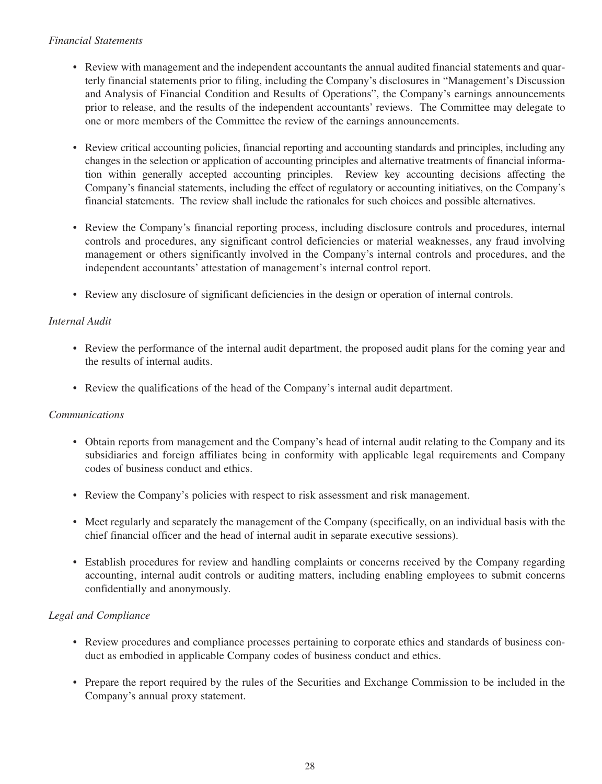## *Financial Statements*

- Review with management and the independent accountants the annual audited financial statements and quarterly financial statements prior to filing, including the Company's disclosures in "Management's Discussion and Analysis of Financial Condition and Results of Operations", the Company's earnings announcements prior to release, and the results of the independent accountants' reviews. The Committee may delegate to one or more members of the Committee the review of the earnings announcements.
- Review critical accounting policies, financial reporting and accounting standards and principles, including any changes in the selection or application of accounting principles and alternative treatments of financial information within generally accepted accounting principles. Review key accounting decisions affecting the Company's financial statements, including the effect of regulatory or accounting initiatives, on the Company's financial statements. The review shall include the rationales for such choices and possible alternatives.
- Review the Company's financial reporting process, including disclosure controls and procedures, internal controls and procedures, any significant control deficiencies or material weaknesses, any fraud involving management or others significantly involved in the Company's internal controls and procedures, and the independent accountants' attestation of management's internal control report.
- Review any disclosure of significant deficiencies in the design or operation of internal controls.

## *Internal Audit*

- Review the performance of the internal audit department, the proposed audit plans for the coming year and the results of internal audits.
- Review the qualifications of the head of the Company's internal audit department.

## *Communications*

- Obtain reports from management and the Company's head of internal audit relating to the Company and its subsidiaries and foreign affiliates being in conformity with applicable legal requirements and Company codes of business conduct and ethics.
- Review the Company's policies with respect to risk assessment and risk management.
- Meet regularly and separately the management of the Company (specifically, on an individual basis with the chief financial officer and the head of internal audit in separate executive sessions).
- Establish procedures for review and handling complaints or concerns received by the Company regarding accounting, internal audit controls or auditing matters, including enabling employees to submit concerns confidentially and anonymously.

## *Legal and Compliance*

- Review procedures and compliance processes pertaining to corporate ethics and standards of business conduct as embodied in applicable Company codes of business conduct and ethics.
- Prepare the report required by the rules of the Securities and Exchange Commission to be included in the Company's annual proxy statement.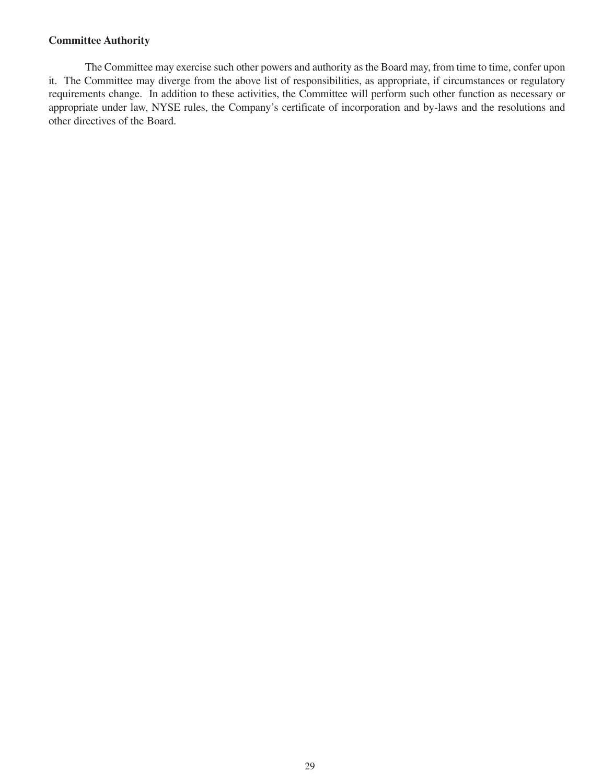## **Committee Authority**

The Committee may exercise such other powers and authority as the Board may, from time to time, confer upon it. The Committee may diverge from the above list of responsibilities, as appropriate, if circumstances or regulatory requirements change. In addition to these activities, the Committee will perform such other function as necessary or appropriate under law, NYSE rules, the Company's certificate of incorporation and by-laws and the resolutions and other directives of the Board.